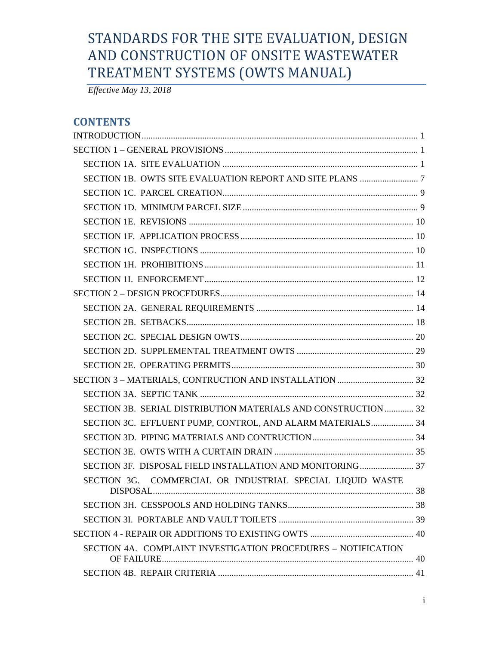# STANDARDS FOR THE SITE EVALUATION, DESIGN AND CONSTRUCTION OF ONSITE WASTEWATER TREATMENT SYSTEMS (OWTS MANUAL)

*Effective May 13, 2018*

# **CONTENTS**

| SECTION 3B. SERIAL DISTRIBUTION MATERIALS AND CONSTRUCTION  32                       |  |
|--------------------------------------------------------------------------------------|--|
| SECTION 3C. EFFLUENT PUMP, CONTROL, AND ALARM MATERIALS 34                           |  |
|                                                                                      |  |
|                                                                                      |  |
|                                                                                      |  |
| SECTION 3G. COMMERCIAL OR INDUSTRIAL SPECIAL LIQUID WASTE<br>$\rm DISPOSAL$ $\rm 38$ |  |
|                                                                                      |  |
|                                                                                      |  |
|                                                                                      |  |
| SECTION 4A. COMPLAINT INVESTIGATION PROCEDURES - NOTIFICATION                        |  |
|                                                                                      |  |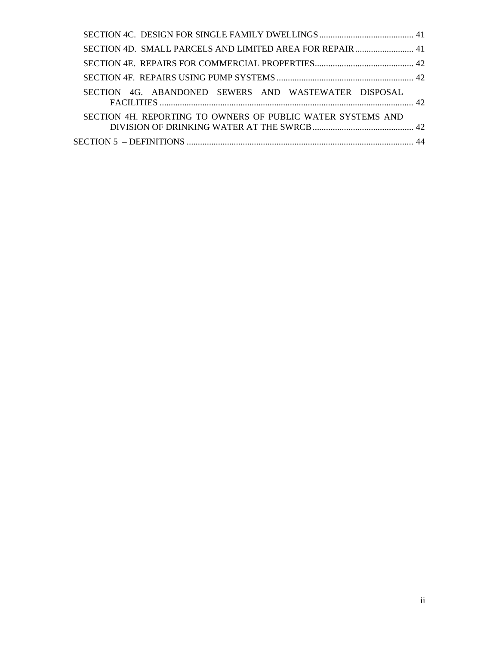| SECTION 4D. SMALL PARCELS AND LIMITED AREA FOR REPAIR  41   |  |
|-------------------------------------------------------------|--|
|                                                             |  |
|                                                             |  |
| SECTION 4G. ABANDONED SEWERS AND WASTEWATER DISPOSAL        |  |
| SECTION 4H. REPORTING TO OWNERS OF PUBLIC WATER SYSTEMS AND |  |
|                                                             |  |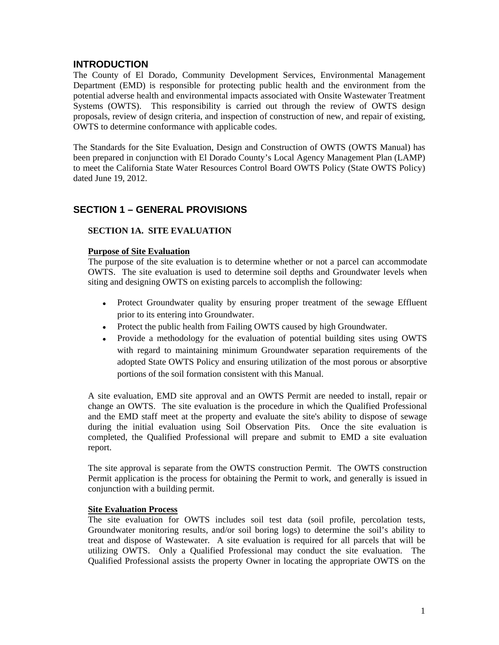# <span id="page-2-0"></span>**INTRODUCTION**

The County of El Dorado, Community Development Services, Environmental Management Department (EMD) is responsible for protecting public health and the environment from the potential adverse health and environmental impacts associated with Onsite Wastewater Treatment Systems (OWTS). This responsibility is carried out through the review of OWTS design proposals, review of design criteria, and inspection of construction of new, and repair of existing, OWTS to determine conformance with applicable codes.

The Standards for the Site Evaluation, Design and Construction of OWTS (OWTS Manual) has been prepared in conjunction with El Dorado County's Local Agency Management Plan (LAMP) to meet the California State Water Resources Control Board OWTS Policy (State OWTS Policy) dated June 19, 2012.

# <span id="page-2-1"></span>**SECTION 1 – GENERAL PROVISIONS**

# <span id="page-2-2"></span>**SECTION 1A. SITE EVALUATION**

#### **Purpose of Site Evaluation**

The purpose of the site evaluation is to determine whether or not a parcel can accommodate OWTS. The site evaluation is used to determine soil depths and Groundwater levels when siting and designing OWTS on existing parcels to accomplish the following:

- Protect Groundwater quality by ensuring proper treatment of the sewage Effluent prior to its entering into Groundwater.
- Protect the public health from Failing OWTS caused by high Groundwater.
- Provide a methodology for the evaluation of potential building sites using OWTS with regard to maintaining minimum Groundwater separation requirements of the adopted State OWTS Policy and ensuring utilization of the most porous or absorptive portions of the soil formation consistent with this Manual.

A site evaluation, EMD site approval and an OWTS Permit are needed to install, repair or change an OWTS. The site evaluation is the procedure in which the Qualified Professional and the EMD staff meet at the property and evaluate the site's ability to dispose of sewage during the initial evaluation using Soil Observation Pits. Once the site evaluation is completed, the Qualified Professional will prepare and submit to EMD a site evaluation report.

The site approval is separate from the OWTS construction Permit. The OWTS construction Permit application is the process for obtaining the Permit to work, and generally is issued in conjunction with a building permit.

#### **Site Evaluation Process**

The site evaluation for OWTS includes soil test data (soil profile, percolation tests, Groundwater monitoring results, and/or soil boring logs) to determine the soil's ability to treat and dispose of Wastewater. A site evaluation is required for all parcels that will be utilizing OWTS. Only a Qualified Professional may conduct the site evaluation. The Qualified Professional assists the property Owner in locating the appropriate OWTS on the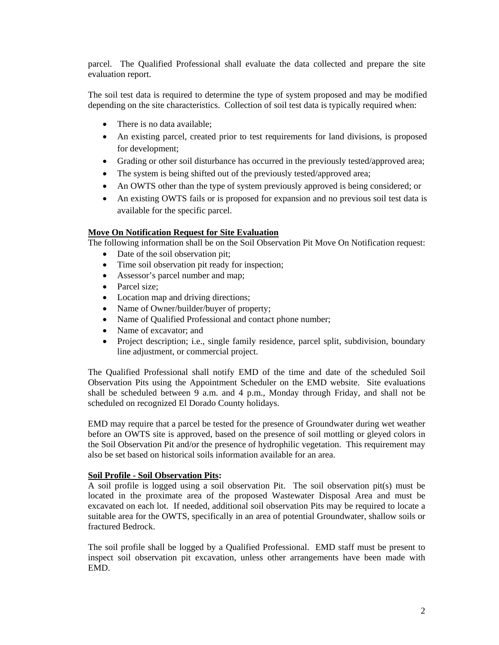parcel. The Qualified Professional shall evaluate the data collected and prepare the site evaluation report.

The soil test data is required to determine the type of system proposed and may be modified depending on the site characteristics. Collection of soil test data is typically required when:

- There is no data available:
- An existing parcel, created prior to test requirements for land divisions, is proposed for development;
- Grading or other soil disturbance has occurred in the previously tested/approved area;
- The system is being shifted out of the previously tested/approved area;
- An OWTS other than the type of system previously approved is being considered; or
- An existing OWTS fails or is proposed for expansion and no previous soil test data is available for the specific parcel.

#### **Move On Notification Request for Site Evaluation**

The following information shall be on the Soil Observation Pit Move On Notification request:

- Date of the soil observation pit;
- Time soil observation pit ready for inspection;
- Assessor's parcel number and map;
- Parcel size;
- Location map and driving directions;
- Name of Owner/builder/buyer of property;
- Name of Qualified Professional and contact phone number;
- Name of excavator; and
- Project description; i.e., single family residence, parcel split, subdivision, boundary line adjustment, or commercial project.

The Qualified Professional shall notify EMD of the time and date of the scheduled Soil Observation Pits using the Appointment Scheduler on the EMD website. Site evaluations shall be scheduled between 9 a.m. and 4 p.m., Monday through Friday, and shall not be scheduled on recognized El Dorado County holidays.

EMD may require that a parcel be tested for the presence of Groundwater during wet weather before an OWTS site is approved, based on the presence of soil mottling or gleyed colors in the Soil Observation Pit and/or the presence of hydrophilic vegetation. This requirement may also be set based on historical soils information available for an area.

#### **Soil Profile - Soil Observation Pits:**

A soil profile is logged using a soil observation Pit. The soil observation pit(s) must be located in the proximate area of the proposed Wastewater Disposal Area and must be excavated on each lot. If needed, additional soil observation Pits may be required to locate a suitable area for the OWTS, specifically in an area of potential Groundwater, shallow soils or fractured Bedrock.

The soil profile shall be logged by a Qualified Professional. EMD staff must be present to inspect soil observation pit excavation, unless other arrangements have been made with EMD.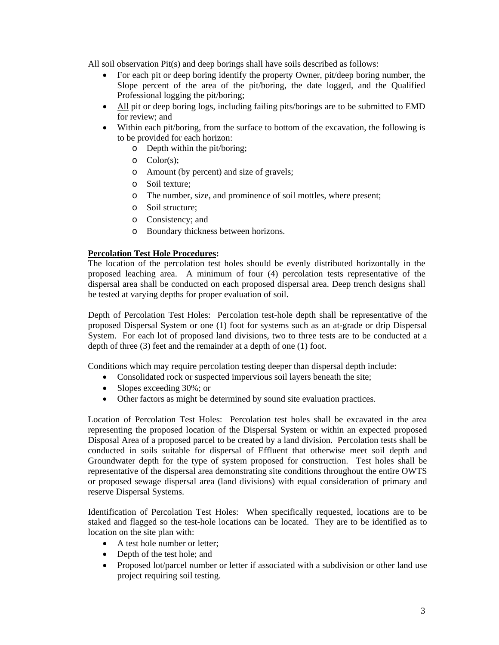All soil observation Pit(s) and deep borings shall have soils described as follows:

- For each pit or deep boring identify the property Owner, pit/deep boring number, the Slope percent of the area of the pit/boring, the date logged, and the Qualified Professional logging the pit/boring;
- All pit or deep boring logs, including failing pits/borings are to be submitted to EMD for review; and
- Within each pit/boring, from the surface to bottom of the excavation, the following is to be provided for each horizon:
	- o Depth within the pit/boring;
	- o Color(s);
	- o Amount (by percent) and size of gravels;
	- o Soil texture;
	- o The number, size, and prominence of soil mottles, where present;
	- o Soil structure;
	- o Consistency; and
	- o Boundary thickness between horizons.

# **Percolation Test Hole Procedures:**

The location of the percolation test holes should be evenly distributed horizontally in the proposed leaching area. A minimum of four (4) percolation tests representative of the dispersal area shall be conducted on each proposed dispersal area. Deep trench designs shall be tested at varying depths for proper evaluation of soil.

Depth of Percolation Test Holes: Percolation test-hole depth shall be representative of the proposed Dispersal System or one (1) foot for systems such as an at-grade or drip Dispersal System. For each lot of proposed land divisions, two to three tests are to be conducted at a depth of three (3) feet and the remainder at a depth of one (1) foot.

Conditions which may require percolation testing deeper than dispersal depth include:

- Consolidated rock or suspected impervious soil layers beneath the site;
- Slopes exceeding 30%; or
- Other factors as might be determined by sound site evaluation practices.

Location of Percolation Test Holes: Percolation test holes shall be excavated in the area representing the proposed location of the Dispersal System or within an expected proposed Disposal Area of a proposed parcel to be created by a land division. Percolation tests shall be conducted in soils suitable for dispersal of Effluent that otherwise meet soil depth and Groundwater depth for the type of system proposed for construction. Test holes shall be representative of the dispersal area demonstrating site conditions throughout the entire OWTS or proposed sewage dispersal area (land divisions) with equal consideration of primary and reserve Dispersal Systems.

Identification of Percolation Test Holes: When specifically requested, locations are to be staked and flagged so the test-hole locations can be located. They are to be identified as to location on the site plan with:

- A test hole number or letter:
- Depth of the test hole; and
- Proposed lot/parcel number or letter if associated with a subdivision or other land use project requiring soil testing.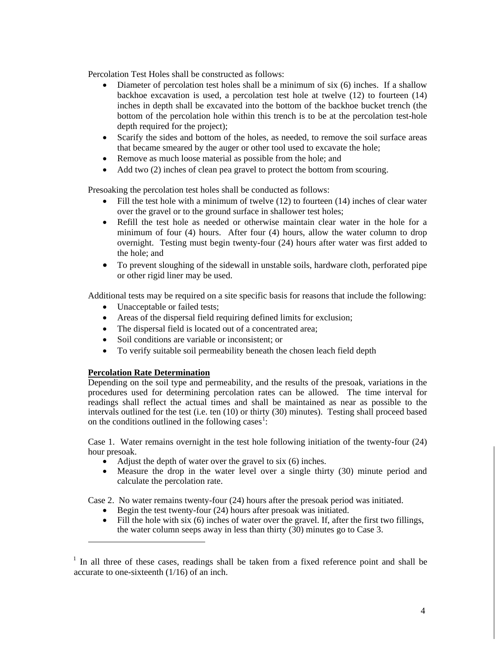Percolation Test Holes shall be constructed as follows:

- Diameter of percolation test holes shall be a minimum of six (6) inches. If a shallow backhoe excavation is used, a percolation test hole at twelve (12) to fourteen (14) inches in depth shall be excavated into the bottom of the backhoe bucket trench (the bottom of the percolation hole within this trench is to be at the percolation test-hole depth required for the project);
- Scarify the sides and bottom of the holes, as needed, to remove the soil surface areas that became smeared by the auger or other tool used to excavate the hole;
- Remove as much loose material as possible from the hole; and
- Add two (2) inches of clean pea gravel to protect the bottom from scouring.

Presoaking the percolation test holes shall be conducted as follows:

- Fill the test hole with a minimum of twelve (12) to fourteen (14) inches of clear water over the gravel or to the ground surface in shallower test holes;
- Refill the test hole as needed or otherwise maintain clear water in the hole for a minimum of four (4) hours. After four (4) hours, allow the water column to drop overnight. Testing must begin twenty-four (24) hours after water was first added to the hole; and
- To prevent sloughing of the sidewall in unstable soils, hardware cloth, perforated pipe or other rigid liner may be used.

Additional tests may be required on a site specific basis for reasons that include the following:

- Unacceptable or failed tests:
- Areas of the dispersal field requiring defined limits for exclusion;
- The dispersal field is located out of a concentrated area:
- Soil conditions are variable or inconsistent; or
- To verify suitable soil permeability beneath the chosen leach field depth

#### **Percolation Rate Determination**

 $\overline{a}$ 

Depending on the soil type and permeability, and the results of the presoak, variations in the procedures used for determining percolation rates can be allowed. The time interval for readings shall reflect the actual times and shall be maintained as near as possible to the intervals outlined for the test (i.e. ten (10) or thirty (30) minutes). Testing shall proceed based on the conditions outlined in the following cases<sup>[1](#page-5-0)</sup>:

Case 1. Water remains overnight in the test hole following initiation of the twenty-four (24) hour presoak.

- Adjust the depth of water over the gravel to six  $(6)$  inches.
- Measure the drop in the water level over a single thirty (30) minute period and calculate the percolation rate.

Case 2. No water remains twenty-four (24) hours after the presoak period was initiated.

- Begin the test twenty-four (24) hours after presoak was initiated.
- Fill the hole with six (6) inches of water over the gravel. If, after the first two fillings, the water column seeps away in less than thirty (30) minutes go to Case 3.

<span id="page-5-0"></span> $1$  In all three of these cases, readings shall be taken from a fixed reference point and shall be accurate to one-sixteenth (1/16) of an inch.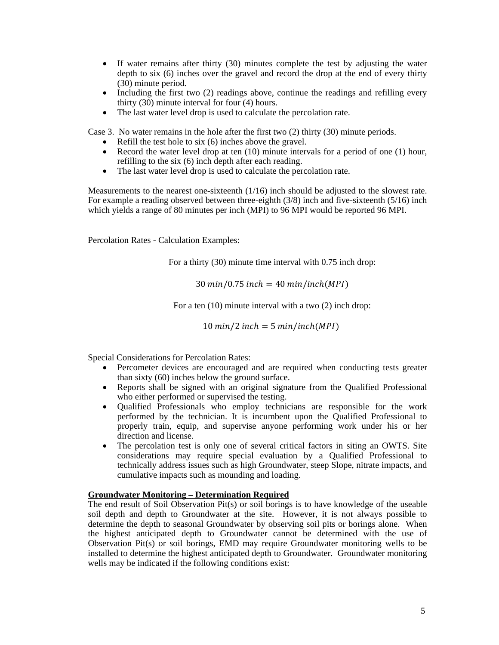- If water remains after thirty (30) minutes complete the test by adjusting the water depth to six (6) inches over the gravel and record the drop at the end of every thirty (30) minute period.
- Including the first two (2) readings above, continue the readings and refilling every thirty (30) minute interval for four (4) hours.
- The last water level drop is used to calculate the percolation rate.

Case 3. No water remains in the hole after the first two (2) thirty (30) minute periods.

- Refill the test hole to six (6) inches above the gravel.
- Record the water level drop at ten (10) minute intervals for a period of one (1) hour, refilling to the six (6) inch depth after each reading.
- The last water level drop is used to calculate the percolation rate.

Measurements to the nearest one-sixteenth  $(1/16)$  inch should be adjusted to the slowest rate. For example a reading observed between three-eighth  $(3/8)$  inch and five-sixteenth  $(5/16)$  inch which yields a range of 80 minutes per inch (MPI) to 96 MPI would be reported 96 MPI.

Percolation Rates - Calculation Examples:

For a thirty (30) minute time interval with 0.75 inch drop:

 $30 \, min/0.75$  inch =  $40 \, min/inch(MPI)$ 

For a ten (10) minute interval with a two (2) inch drop:

 $10 \text{ min}/2$  inch = 5 min/inch(MPI)

Special Considerations for Percolation Rates:

- Percometer devices are encouraged and are required when conducting tests greater than sixty (60) inches below the ground surface.
- Reports shall be signed with an original signature from the Qualified Professional who either performed or supervised the testing.
- Qualified Professionals who employ technicians are responsible for the work performed by the technician. It is incumbent upon the Qualified Professional to properly train, equip, and supervise anyone performing work under his or her direction and license.
- The percolation test is only one of several critical factors in siting an OWTS. Site considerations may require special evaluation by a Qualified Professional to technically address issues such as high Groundwater, steep Slope, nitrate impacts, and cumulative impacts such as mounding and loading.

#### **Groundwater Monitoring – Determination Required**

The end result of Soil Observation Pit(s) or soil borings is to have knowledge of the useable soil depth and depth to Groundwater at the site. However, it is not always possible to determine the depth to seasonal Groundwater by observing soil pits or borings alone. When the highest anticipated depth to Groundwater cannot be determined with the use of Observation Pit(s) or soil borings, EMD may require Groundwater monitoring wells to be installed to determine the highest anticipated depth to Groundwater. Groundwater monitoring wells may be indicated if the following conditions exist: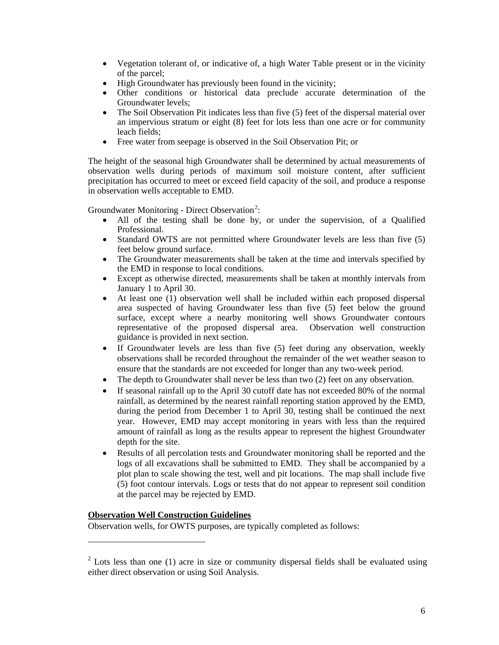- Vegetation tolerant of, or indicative of, a high Water Table present or in the vicinity of the parcel;
- High Groundwater has previously been found in the vicinity;
- Other conditions or historical data preclude accurate determination of the Groundwater levels;
- The Soil Observation Pit indicates less than five (5) feet of the dispersal material over an impervious stratum or eight (8) feet for lots less than one acre or for community leach fields;
- Free water from seepage is observed in the Soil Observation Pit; or

The height of the seasonal high Groundwater shall be determined by actual measurements of observation wells during periods of maximum soil moisture content, after sufficient precipitation has occurred to meet or exceed field capacity of the soil, and produce a response in observation wells acceptable to EMD.

Groundwater Monitoring - Direct Observation<sup>[2](#page-7-0)</sup>:

- All of the testing shall be done by, or under the supervision, of a Qualified Professional.
- Standard OWTS are not permitted where Groundwater levels are less than five (5) feet below ground surface.
- The Groundwater measurements shall be taken at the time and intervals specified by the EMD in response to local conditions.
- Except as otherwise directed, measurements shall be taken at monthly intervals from January 1 to April 30.
- At least one (1) observation well shall be included within each proposed dispersal area suspected of having Groundwater less than five (5) feet below the ground surface, except where a nearby monitoring well shows Groundwater contours representative of the proposed dispersal area. Observation well construction guidance is provided in next section.
- If Groundwater levels are less than five (5) feet during any observation, weekly observations shall be recorded throughout the remainder of the wet weather season to ensure that the standards are not exceeded for longer than any two-week period.
- The depth to Groundwater shall never be less than two (2) feet on any observation.
- If seasonal rainfall up to the April 30 cutoff date has not exceeded 80% of the normal rainfall, as determined by the nearest rainfall reporting station approved by the EMD, during the period from December 1 to April 30, testing shall be continued the next year. However, EMD may accept monitoring in years with less than the required amount of rainfall as long as the results appear to represent the highest Groundwater depth for the site.
- Results of all percolation tests and Groundwater monitoring shall be reported and the logs of all excavations shall be submitted to EMD. They shall be accompanied by a plot plan to scale showing the test, well and pit locations. The map shall include five (5) foot contour intervals. Logs or tests that do not appear to represent soil condition at the parcel may be rejected by EMD.

# **Observation Well Construction Guidelines**

 $\overline{a}$ 

Observation wells, for OWTS purposes, are typically completed as follows:

<span id="page-7-0"></span> $2$  Lots less than one (1) acre in size or community dispersal fields shall be evaluated using either direct observation or using Soil Analysis.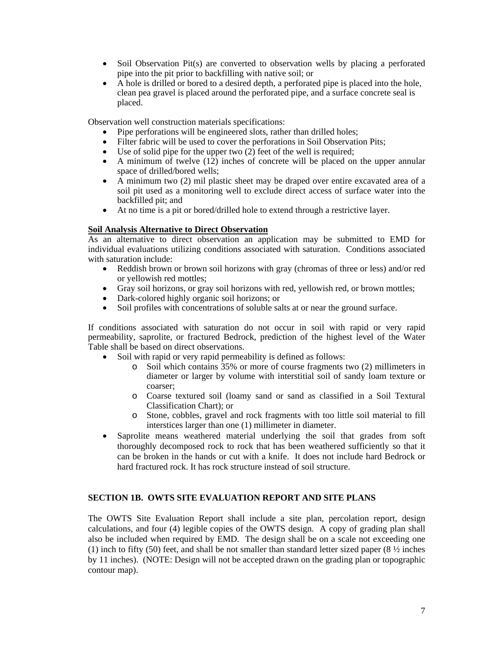- Soil Observation Pit(s) are converted to observation wells by placing a perforated pipe into the pit prior to backfilling with native soil; or
- A hole is drilled or bored to a desired depth, a perforated pipe is placed into the hole, clean pea gravel is placed around the perforated pipe, and a surface concrete seal is placed.

Observation well construction materials specifications:

- Pipe perforations will be engineered slots, rather than drilled holes;
- Filter fabric will be used to cover the perforations in Soil Observation Pits;
- Use of solid pipe for the upper two (2) feet of the well is required;
- A minimum of twelve  $(12)$  inches of concrete will be placed on the upper annular space of drilled/bored wells;
- A minimum two (2) mil plastic sheet may be draped over entire excavated area of a soil pit used as a monitoring well to exclude direct access of surface water into the backfilled pit; and
- At no time is a pit or bored/drilled hole to extend through a restrictive layer.

#### **Soil Analysis Alternative to Direct Observation**

As an alternative to direct observation an application may be submitted to EMD for individual evaluations utilizing conditions associated with saturation. Conditions associated with saturation include:

- Reddish brown or brown soil horizons with gray (chromas of three or less) and/or red or yellowish red mottles;
- Gray soil horizons, or gray soil horizons with red, yellowish red, or brown mottles;
- Dark-colored highly organic soil horizons; or
- Soil profiles with concentrations of soluble salts at or near the ground surface.

If conditions associated with saturation do not occur in soil with rapid or very rapid permeability, saprolite, or fractured Bedrock, prediction of the highest level of the Water Table shall be based on direct observations.

- Soil with rapid or very rapid permeability is defined as follows:
	- o Soil which contains 35% or more of course fragments two (2) millimeters in diameter or larger by volume with interstitial soil of sandy loam texture or coarser;
	- o Coarse textured soil (loamy sand or sand as classified in a Soil Textural Classification Chart); or
	- o Stone, cobbles, gravel and rock fragments with too little soil material to fill interstices larger than one (1) millimeter in diameter.
- Saprolite means weathered material underlying the soil that grades from soft thoroughly decomposed rock to rock that has been weathered sufficiently so that it can be broken in the hands or cut with a knife. It does not include hard Bedrock or hard fractured rock. It has rock structure instead of soil structure.

#### <span id="page-8-0"></span>**SECTION 1B. OWTS SITE EVALUATION REPORT AND SITE PLANS**

The OWTS Site Evaluation Report shall include a site plan, percolation report, design calculations, and four (4) legible copies of the OWTS design. A copy of grading plan shall also be included when required by EMD. The design shall be on a scale not exceeding one (1) inch to fifty (50) feet, and shall be not smaller than standard letter sized paper (8  $\frac{1}{2}$  inches by 11 inches). (NOTE: Design will not be accepted drawn on the grading plan or topographic contour map).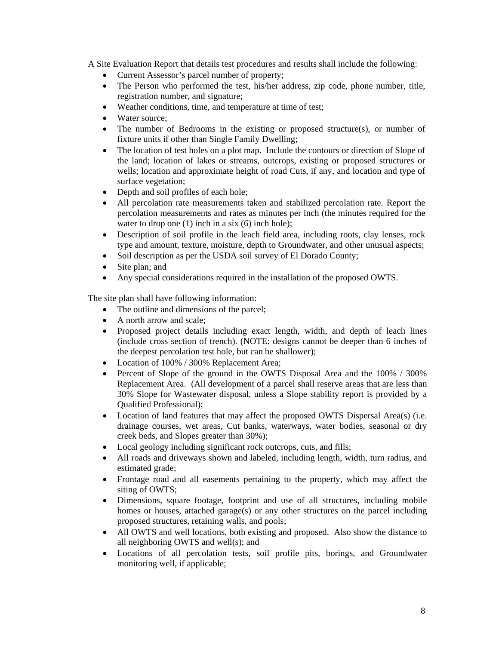A Site Evaluation Report that details test procedures and results shall include the following:

- Current Assessor's parcel number of property;
- The Person who performed the test, his/her address, zip code, phone number, title, registration number, and signature;
- Weather conditions, time, and temperature at time of test;
- Water source:
- The number of Bedrooms in the existing or proposed structure(s), or number of fixture units if other than Single Family Dwelling;
- The location of test holes on a plot map. Include the contours or direction of Slope of the land; location of lakes or streams, outcrops, existing or proposed structures or wells; location and approximate height of road Cuts, if any, and location and type of surface vegetation;
- Depth and soil profiles of each hole;
- All percolation rate measurements taken and stabilized percolation rate. Report the percolation measurements and rates as minutes per inch (the minutes required for the water to drop one (1) inch in a six (6) inch hole);
- Description of soil profile in the leach field area, including roots, clay lenses, rock type and amount, texture, moisture, depth to Groundwater, and other unusual aspects;
- Soil description as per the USDA soil survey of El Dorado County;
- Site plan; and
- Any special considerations required in the installation of the proposed OWTS.

The site plan shall have following information:

- The outline and dimensions of the parcel;
- A north arrow and scale:
- Proposed project details including exact length, width, and depth of leach lines (include cross section of trench). (NOTE: designs cannot be deeper than 6 inches of the deepest percolation test hole, but can be shallower);
- Location of 100% / 300% Replacement Area;
- Percent of Slope of the ground in the OWTS Disposal Area and the 100% / 300% Replacement Area. (All development of a parcel shall reserve areas that are less than 30% Slope for Wastewater disposal, unless a Slope stability report is provided by a Qualified Professional);
- Location of land features that may affect the proposed OWTS Dispersal Area(s) (i.e. drainage courses, wet areas, Cut banks, waterways, water bodies, seasonal or dry creek beds, and Slopes greater than 30%);
- Local geology including significant rock outcrops, cuts, and fills;
- All roads and driveways shown and labeled, including length, width, turn radius, and estimated grade;
- Frontage road and all easements pertaining to the property, which may affect the siting of OWTS;
- Dimensions, square footage, footprint and use of all structures, including mobile homes or houses, attached garage(s) or any other structures on the parcel including proposed structures, retaining walls, and pools;
- All OWTS and well locations, both existing and proposed. Also show the distance to all neighboring OWTS and well(s); and
- Locations of all percolation tests, soil profile pits, borings, and Groundwater monitoring well, if applicable;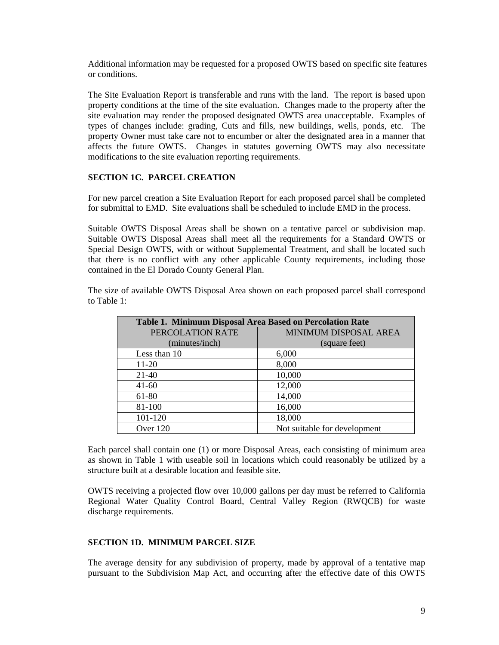Additional information may be requested for a proposed OWTS based on specific site features or conditions.

The Site Evaluation Report is transferable and runs with the land. The report is based upon property conditions at the time of the site evaluation. Changes made to the property after the site evaluation may render the proposed designated OWTS area unacceptable. Examples of types of changes include: grading, Cuts and fills, new buildings, wells, ponds, etc. The property Owner must take care not to encumber or alter the designated area in a manner that affects the future OWTS. Changes in statutes governing OWTS may also necessitate modifications to the site evaluation reporting requirements.

#### <span id="page-10-0"></span>**SECTION 1C. PARCEL CREATION**

For new parcel creation a Site Evaluation Report for each proposed parcel shall be completed for submittal to EMD. Site evaluations shall be scheduled to include EMD in the process.

Suitable OWTS Disposal Areas shall be shown on a tentative parcel or subdivision map. Suitable OWTS Disposal Areas shall meet all the requirements for a Standard OWTS or Special Design OWTS, with or without Supplemental Treatment, and shall be located such that there is no conflict with any other applicable County requirements, including those contained in the El Dorado County General Plan.

The size of available OWTS Disposal Area shown on each proposed parcel shall correspond to Table 1:

| Table 1. Minimum Disposal Area Based on Percolation Rate |                              |  |
|----------------------------------------------------------|------------------------------|--|
| PERCOLATION RATE                                         | MINIMUM DISPOSAL AREA        |  |
| (minutes/inch)                                           | (square feet)                |  |
| Less than 10                                             | 6,000                        |  |
| 11-20                                                    | 8,000                        |  |
| $21-40$                                                  | 10,000                       |  |
| $41 - 60$                                                | 12,000                       |  |
| 61-80                                                    | 14,000                       |  |
| 81-100                                                   | 16,000                       |  |
| 101-120                                                  | 18,000                       |  |
| Over 120                                                 | Not suitable for development |  |

Each parcel shall contain one (1) or more Disposal Areas, each consisting of minimum area as shown in Table 1 with useable soil in locations which could reasonably be utilized by a structure built at a desirable location and feasible site.

OWTS receiving a projected flow over 10,000 gallons per day must be referred to California Regional Water Quality Control Board, Central Valley Region (RWQCB) for waste discharge requirements.

#### <span id="page-10-1"></span>**SECTION 1D. MINIMUM PARCEL SIZE**

The average density for any subdivision of property, made by approval of a tentative map pursuant to the Subdivision Map Act, and occurring after the effective date of this OWTS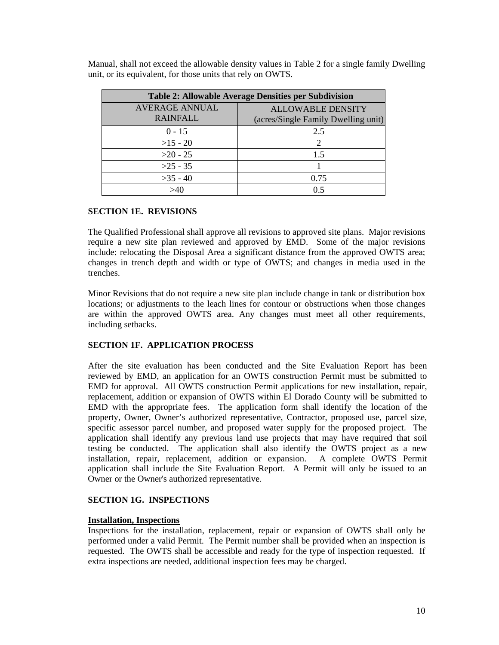| <b>Table 2: Allowable Average Densities per Subdivision</b> |                                                                 |  |
|-------------------------------------------------------------|-----------------------------------------------------------------|--|
| <b>AVERAGE ANNUAL</b><br><b>RAINFALL</b>                    | <b>ALLOWABLE DENSITY</b><br>(acres/Single Family Dwelling unit) |  |
| $0 - 15$                                                    | 2.5                                                             |  |
| $>15 - 20$                                                  | 2                                                               |  |
| $>20 - 25$                                                  | 1.5                                                             |  |
| $>25 - 35$                                                  |                                                                 |  |
| $>35 - 40$                                                  | 0.75                                                            |  |
|                                                             | 0.5                                                             |  |

Manual, shall not exceed the allowable density values in Table 2 for a single family Dwelling unit, or its equivalent, for those units that rely on OWTS.

# <span id="page-11-0"></span>**SECTION 1E. REVISIONS**

The Qualified Professional shall approve all revisions to approved site plans. Major revisions require a new site plan reviewed and approved by EMD. Some of the major revisions include: relocating the Disposal Area a significant distance from the approved OWTS area; changes in trench depth and width or type of OWTS; and changes in media used in the trenches.

Minor Revisions that do not require a new site plan include change in tank or distribution box locations; or adjustments to the leach lines for contour or obstructions when those changes are within the approved OWTS area. Any changes must meet all other requirements, including setbacks.

# <span id="page-11-1"></span>**SECTION 1F. APPLICATION PROCESS**

After the site evaluation has been conducted and the Site Evaluation Report has been reviewed by EMD, an application for an OWTS construction Permit must be submitted to EMD for approval. All OWTS construction Permit applications for new installation, repair, replacement, addition or expansion of OWTS within El Dorado County will be submitted to EMD with the appropriate fees. The application form shall identify the location of the property, Owner, Owner's authorized representative, Contractor, proposed use, parcel size, specific assessor parcel number, and proposed water supply for the proposed project. The application shall identify any previous land use projects that may have required that soil testing be conducted. The application shall also identify the OWTS project as a new installation, repair, replacement, addition or expansion. A complete OWTS Permit application shall include the Site Evaluation Report. A Permit will only be issued to an Owner or the Owner's authorized representative.

#### <span id="page-11-2"></span>**SECTION 1G. INSPECTIONS**

#### **Installation, Inspections**

Inspections for the installation, replacement, repair or expansion of OWTS shall only be performed under a valid Permit. The Permit number shall be provided when an inspection is requested. The OWTS shall be accessible and ready for the type of inspection requested. If extra inspections are needed, additional inspection fees may be charged.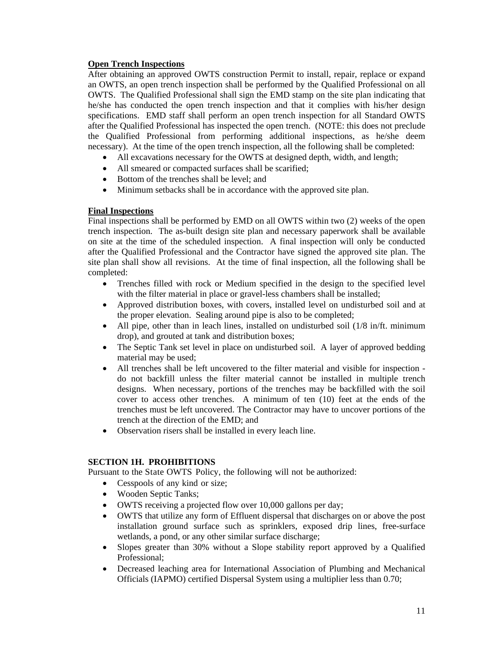#### **Open Trench Inspections**

After obtaining an approved OWTS construction Permit to install, repair, replace or expand an OWTS, an open trench inspection shall be performed by the Qualified Professional on all OWTS. The Qualified Professional shall sign the EMD stamp on the site plan indicating that he/she has conducted the open trench inspection and that it complies with his/her design specifications. EMD staff shall perform an open trench inspection for all Standard OWTS after the Qualified Professional has inspected the open trench. (NOTE: this does not preclude the Qualified Professional from performing additional inspections, as he/she deem necessary). At the time of the open trench inspection, all the following shall be completed:

- All excavations necessary for the OWTS at designed depth, width, and length;
- All smeared or compacted surfaces shall be scarified:
- Bottom of the trenches shall be level; and
- Minimum setbacks shall be in accordance with the approved site plan.

# **Final Inspections**

Final inspections shall be performed by EMD on all OWTS within two (2) weeks of the open trench inspection. The as-built design site plan and necessary paperwork shall be available on site at the time of the scheduled inspection. A final inspection will only be conducted after the Qualified Professional and the Contractor have signed the approved site plan. The site plan shall show all revisions. At the time of final inspection, all the following shall be completed:

- Trenches filled with rock or Medium specified in the design to the specified level with the filter material in place or gravel-less chambers shall be installed;
- Approved distribution boxes, with covers, installed level on undisturbed soil and at the proper elevation. Sealing around pipe is also to be completed;
- All pipe, other than in leach lines, installed on undisturbed soil (1/8 in/ft. minimum drop), and grouted at tank and distribution boxes;
- The Septic Tank set level in place on undisturbed soil. A layer of approved bedding material may be used;
- All trenches shall be left uncovered to the filter material and visible for inspection do not backfill unless the filter material cannot be installed in multiple trench designs. When necessary, portions of the trenches may be backfilled with the soil cover to access other trenches. A minimum of ten (10) feet at the ends of the trenches must be left uncovered. The Contractor may have to uncover portions of the trench at the direction of the EMD; and
- Observation risers shall be installed in every leach line.

# <span id="page-12-0"></span>**SECTION 1H. PROHIBITIONS**

Pursuant to the State OWTS Policy, the following will not be authorized:

- Cesspools of any kind or size;
- Wooden Septic Tanks;
- OWTS receiving a projected flow over 10,000 gallons per day;
- OWTS that utilize any form of Effluent dispersal that discharges on or above the post installation ground surface such as sprinklers, exposed drip lines, free-surface wetlands, a pond, or any other similar surface discharge;
- Slopes greater than 30% without a Slope stability report approved by a Qualified Professional;
- Decreased leaching area for International Association of Plumbing and Mechanical Officials (IAPMO) certified Dispersal System using a multiplier less than 0.70;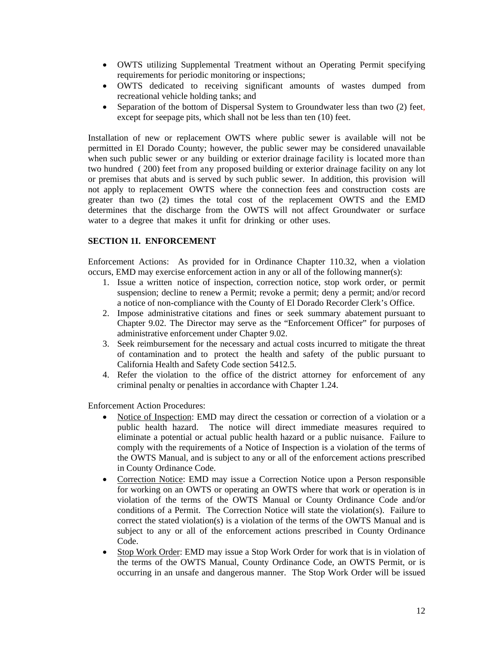- OWTS utilizing Supplemental Treatment without an Operating Permit specifying requirements for periodic monitoring or inspections;
- OWTS dedicated to receiving significant amounts of wastes dumped from recreational vehicle holding tanks; and
- Separation of the bottom of Dispersal System to Groundwater less than two (2) feet, except for seepage pits, which shall not be less than ten (10) feet.

Installation of new or replacement OWTS where public sewer is available will not be permitted in El Dorado County; however, the public sewer may be considered unavailable when such public sewer or any building or exterior drainage facility is located more than two hundred ( 200) feet from any proposed building or exterior drainage facility on any lot or premises that abuts and is served by such public sewer. In addition, this provision will not apply to replacement OWTS where the connection fees and construction costs are greater than two (2) times the total cost of the replacement OWTS and the EMD determines that the discharge from the OWTS will not affect Groundwater or surface water to a degree that makes it unfit for drinking or other uses.

#### <span id="page-13-0"></span>**SECTION 1I. ENFORCEMENT**

Enforcement Actions: As provided for in Ordinance Chapter 110.32, when a violation occurs, EMD may exercise enforcement action in any or all of the following manner(s):

- 1. Issue a written notice of inspection, correction notice, stop work order, or permit suspension; decline to renew a Permit; revoke a permit; deny a permit; and/or record a notice of non-compliance with the County of El Dorado Recorder Clerk's Office.
- 2. Impose administrative citations and fines or seek summary abatement pursuant to Chapter 9.02. The Director may serve as the "Enforcement Officer" for purposes of administrative enforcement under Chapter 9.02.
- 3. Seek reimbursement for the necessary and actual costs incurred to mitigate the threat of contamination and to protect the health and safety of the public pursuant to California Health and Safety Code section 5412.5.
- 4. Refer the violation to the office of the district attorney for enforcement of any criminal penalty or penalties in accordance with Chapter 1.24.

Enforcement Action Procedures:

- Notice of Inspection: EMD may direct the cessation or correction of a violation or a public health hazard. The notice will direct immediate measures required to eliminate a potential or actual public health hazard or a public nuisance. Failure to comply with the requirements of a Notice of Inspection is a violation of the terms of the OWTS Manual, and is subject to any or all of the enforcement actions prescribed in County Ordinance Code.
- Correction Notice: EMD may issue a Correction Notice upon a Person responsible for working on an OWTS or operating an OWTS where that work or operation is in violation of the terms of the OWTS Manual or County Ordinance Code and/or conditions of a Permit. The Correction Notice will state the violation(s). Failure to correct the stated violation(s) is a violation of the terms of the OWTS Manual and is subject to any or all of the enforcement actions prescribed in County Ordinance Code.
- Stop Work Order: EMD may issue a Stop Work Order for work that is in violation of the terms of the OWTS Manual, County Ordinance Code, an OWTS Permit, or is occurring in an unsafe and dangerous manner. The Stop Work Order will be issued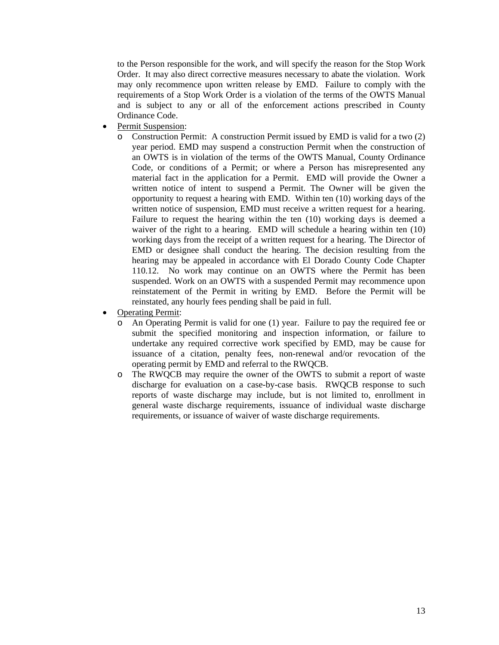to the Person responsible for the work, and will specify the reason for the Stop Work Order. It may also direct corrective measures necessary to abate the violation. Work may only recommence upon written release by EMD. Failure to comply with the requirements of a Stop Work Order is a violation of the terms of the OWTS Manual and is subject to any or all of the enforcement actions prescribed in County Ordinance Code.

- Permit Suspension:
	- o Construction Permit: A construction Permit issued by EMD is valid for a two (2) year period. EMD may suspend a construction Permit when the construction of an OWTS is in violation of the terms of the OWTS Manual, County Ordinance Code, or conditions of a Permit; or where a Person has misrepresented any material fact in the application for a Permit. EMD will provide the Owner a written notice of intent to suspend a Permit. The Owner will be given the opportunity to request a hearing with EMD. Within ten (10) working days of the written notice of suspension, EMD must receive a written request for a hearing. Failure to request the hearing within the ten (10) working days is deemed a waiver of the right to a hearing. EMD will schedule a hearing within ten (10) working days from the receipt of a written request for a hearing. The Director of EMD or designee shall conduct the hearing. The decision resulting from the hearing may be appealed in accordance with El Dorado County Code Chapter 110.12. No work may continue on an OWTS where the Permit has been suspended. Work on an OWTS with a suspended Permit may recommence upon reinstatement of the Permit in writing by EMD. Before the Permit will be reinstated, any hourly fees pending shall be paid in full.
- Operating Permit:
	- o An Operating Permit is valid for one (1) year. Failure to pay the required fee or submit the specified monitoring and inspection information, or failure to undertake any required corrective work specified by EMD, may be cause for issuance of a citation, penalty fees, non-renewal and/or revocation of the operating permit by EMD and referral to the RWQCB.
	- o The RWQCB may require the owner of the OWTS to submit a report of waste discharge for evaluation on a case-by-case basis. RWQCB response to such reports of waste discharge may include, but is not limited to, enrollment in general waste discharge requirements, issuance of individual waste discharge requirements, or issuance of waiver of waste discharge requirements.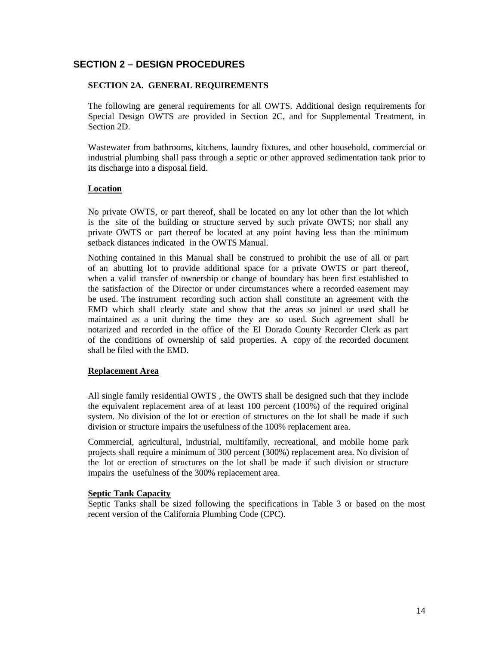# <span id="page-15-0"></span>**SECTION 2 – DESIGN PROCEDURES**

# <span id="page-15-1"></span>**SECTION 2A. GENERAL REQUIREMENTS**

The following are general requirements for all OWTS. Additional design requirements for Special Design OWTS are provided in Section 2C, and for Supplemental Treatment, in Section 2D.

Wastewater from bathrooms, kitchens, laundry fixtures, and other household, commercial or industrial plumbing shall pass through a septic or other approved sedimentation tank prior to its discharge into a disposal field.

#### **Location**

No private OWTS, or part thereof, shall be located on any lot other than the lot which is the site of the building or structure served by such private OWTS; nor shall any private OWTS or part thereof be located at any point having less than the minimum setback distances indicated in the OWTS Manual.

Nothing contained in this Manual shall be construed to prohibit the use of all or part of an abutting lot to provide additional space for a private OWTS or part thereof, when a valid transfer of ownership or change of boundary has been first established to the satisfaction of the Director or under circumstances where a recorded easement may be used. The instrument recording such action shall constitute an agreement with the EMD which shall clearly state and show that the areas so joined or used shall be maintained as a unit during the time they are so used. Such agreement shall be notarized and recorded in the office of the El Dorado County Recorder Clerk as part of the conditions of ownership of said properties. A copy of the recorded document shall be filed with the EMD.

#### **Replacement Area**

All single family residential OWTS , the OWTS shall be designed such that they include the equivalent replacement area of at least 100 percent (100%) of the required original system. No division of the lot or erection of structures on the lot shall be made if such division or structure impairs the usefulness of the 100% replacement area.

Commercial, agricultural, industrial, multifamily, recreational, and mobile home park projects shall require a minimum of 300 percent (300%) replacement area. No division of the lot or erection of structures on the lot shall be made if such division or structure impairs the usefulness of the 300% replacement area.

#### **Septic Tank Capacity**

Septic Tanks shall be sized following the specifications in Table 3 or based on the most recent version of the California Plumbing Code (CPC).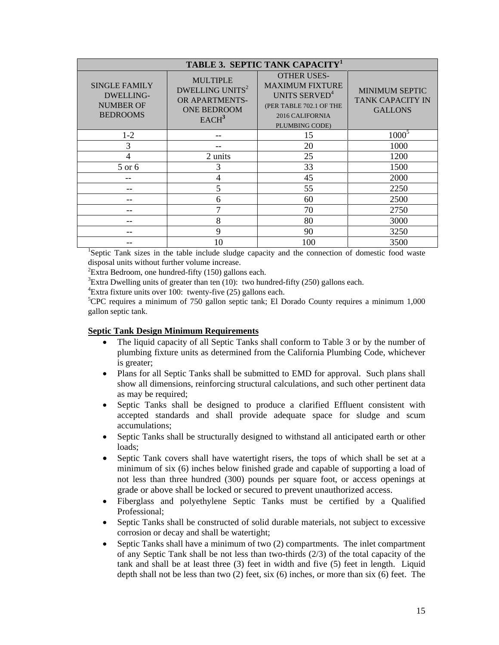| TABLE 3. SEPTIC TANK CAPACITY <sup>1</sup>                                      |                                                                                                                    |                                                                                                                                           |                                                                    |
|---------------------------------------------------------------------------------|--------------------------------------------------------------------------------------------------------------------|-------------------------------------------------------------------------------------------------------------------------------------------|--------------------------------------------------------------------|
| <b>SINGLE FAMILY</b><br><b>DWELLING-</b><br><b>NUMBER OF</b><br><b>BEDROOMS</b> | <b>MULTIPLE</b><br>DWELLING UNITS <sup>2</sup><br><b>OR APARTMENTS-</b><br><b>ONE BEDROOM</b><br>EACH <sup>3</sup> | <b>OTHER USES-</b><br><b>MAXIMUM FIXTURE</b><br>UNITS SERVED <sup>4</sup><br>(PER TABLE 702.1 OF THE<br>2016 CALIFORNIA<br>PLUMBING CODE) | <b>MINIMUM SEPTIC</b><br><b>TANK CAPACITY IN</b><br><b>GALLONS</b> |
| $1 - 2$                                                                         |                                                                                                                    | 15                                                                                                                                        | $1000^5$                                                           |
| 3                                                                               |                                                                                                                    | 20                                                                                                                                        | 1000                                                               |
| 4                                                                               | 2 units                                                                                                            | 25                                                                                                                                        | 1200                                                               |
| 5 or 6                                                                          | 3                                                                                                                  | 33                                                                                                                                        | 1500                                                               |
|                                                                                 | 4                                                                                                                  | 45                                                                                                                                        | 2000                                                               |
|                                                                                 | 5                                                                                                                  | 55                                                                                                                                        | 2250                                                               |
|                                                                                 | 6                                                                                                                  | 60                                                                                                                                        | 2500                                                               |
|                                                                                 | 7                                                                                                                  | 70                                                                                                                                        | 2750                                                               |
|                                                                                 | 8                                                                                                                  | 80                                                                                                                                        | 3000                                                               |
|                                                                                 | 9                                                                                                                  | 90                                                                                                                                        | 3250                                                               |
|                                                                                 | 10                                                                                                                 | 100                                                                                                                                       | 3500                                                               |

<sup>1</sup>Septic Tank sizes in the table include sludge capacity and the connection of domestic food waste disposal units without further volume increase.

 ${}^{2}$ Extra Bedroom, one hundred-fifty (150) gallons each.

 ${}^{3}$ Extra Dwelling units of greater than ten (10): two hundred-fifty (250) gallons each.

 ${}^{4}$ Extra fixture units over 100: twenty-five (25) gallons each.

<sup>5</sup>CPC requires a minimum of 750 gallon septic tank; El Dorado County requires a minimum 1,000 gallon septic tank.

#### **Septic Tank Design Minimum Requirements**

- The liquid capacity of all Septic Tanks shall conform to Table 3 or by the number of plumbing fixture units as determined from the California Plumbing Code, whichever is greater;
- Plans for all Septic Tanks shall be submitted to EMD for approval. Such plans shall show all dimensions, reinforcing structural calculations, and such other pertinent data as may be required;
- Septic Tanks shall be designed to produce a clarified Effluent consistent with accepted standards and shall provide adequate space for sludge and scum accumulations;
- Septic Tanks shall be structurally designed to withstand all anticipated earth or other loads;
- Septic Tank covers shall have watertight risers, the tops of which shall be set at a minimum of six (6) inches below finished grade and capable of supporting a load of not less than three hundred (300) pounds per square foot, or access openings at grade or above shall be locked or secured to prevent unauthorized access.
- Fiberglass and polyethylene Septic Tanks must be certified by a Qualified Professional;
- Septic Tanks shall be constructed of solid durable materials, not subject to excessive corrosion or decay and shall be watertight;
- Septic Tanks shall have a minimum of two (2) compartments. The inlet compartment of any Septic Tank shall be not less than two-thirds (2/3) of the total capacity of the tank and shall be at least three (3) feet in width and five (5) feet in length. Liquid depth shall not be less than two (2) feet, six (6) inches, or more than six (6) feet. The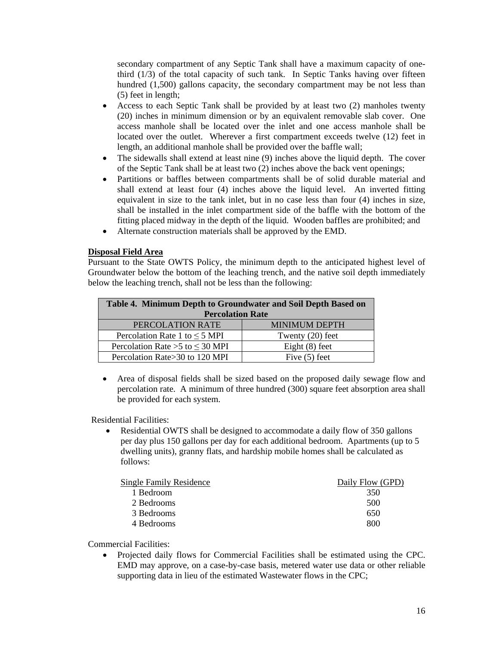secondary compartment of any Septic Tank shall have a maximum capacity of onethird (1/3) of the total capacity of such tank. In Septic Tanks having over fifteen hundred (1,500) gallons capacity, the secondary compartment may be not less than (5) feet in length;

- Access to each Septic Tank shall be provided by at least two (2) manholes twenty (20) inches in minimum dimension or by an equivalent removable slab cover. One access manhole shall be located over the inlet and one access manhole shall be located over the outlet. Wherever a first compartment exceeds twelve (12) feet in length, an additional manhole shall be provided over the baffle wall;
- The sidewalls shall extend at least nine (9) inches above the liquid depth. The cover of the Septic Tank shall be at least two (2) inches above the back vent openings;
- Partitions or baffles between compartments shall be of solid durable material and shall extend at least four (4) inches above the liquid level. An inverted fitting equivalent in size to the tank inlet, but in no case less than four (4) inches in size, shall be installed in the inlet compartment side of the baffle with the bottom of the fitting placed midway in the depth of the liquid. Wooden baffles are prohibited; and
- Alternate construction materials shall be approved by the EMD.

#### **Disposal Field Area**

Pursuant to the State OWTS Policy, the minimum depth to the anticipated highest level of Groundwater below the bottom of the leaching trench, and the native soil depth immediately below the leaching trench, shall not be less than the following:

| Table 4. Minimum Depth to Groundwater and Soil Depth Based on |                      |  |
|---------------------------------------------------------------|----------------------|--|
| <b>Percolation Rate</b>                                       |                      |  |
| PERCOLATION RATE                                              | <b>MINIMUM DEPTH</b> |  |
| Percolation Rate 1 to $\leq$ 5 MPI                            | Twenty $(20)$ feet   |  |
| Percolation Rate > $5$ to $\leq$ 30 MPI                       | Eight $(8)$ feet     |  |
| Percolation Rate>30 to 120 MPI                                | Five $(5)$ feet      |  |

• Area of disposal fields shall be sized based on the proposed daily sewage flow and percolation rate. A minimum of three hundred (300) square feet absorption area shall be provided for each system.

Residential Facilities:

Residential OWTS shall be designed to accommodate a daily flow of 350 gallons per day plus 150 gallons per day for each additional bedroom. Apartments (up to 5 dwelling units), granny flats, and hardship mobile homes shall be calculated as follows:

| <b>Single Family Residence</b> | Daily Flow (GPD) |
|--------------------------------|------------------|
| 1 Bedroom                      | 350              |
| 2 Bedrooms                     | 500              |
| 3 Bedrooms                     | 650              |
| 4 Bedrooms                     | 800              |
|                                |                  |

Commercial Facilities:

• Projected daily flows for Commercial Facilities shall be estimated using the CPC. EMD may approve, on a case-by-case basis, metered water use data or other reliable supporting data in lieu of the estimated Wastewater flows in the CPC;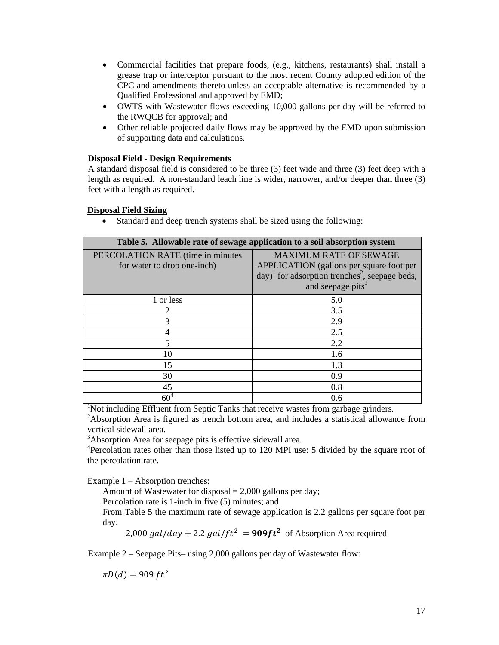- Commercial facilities that prepare foods, (e.g., kitchens, restaurants) shall install a grease trap or interceptor pursuant to the most recent County adopted edition of the CPC and amendments thereto unless an acceptable alternative is recommended by a Qualified Professional and approved by EMD;
- OWTS with Wastewater flows exceeding 10,000 gallons per day will be referred to the RWQCB for approval; and
- Other reliable projected daily flows may be approved by the EMD upon submission of supporting data and calculations.

#### **Disposal Field - Design Requirements**

A standard disposal field is considered to be three (3) feet wide and three (3) feet deep with a length as required. A non-standard leach line is wider, narrower, and/or deeper than three (3) feet with a length as required.

#### **Disposal Field Sizing**

• Standard and deep trench systems shall be sized using the following:

| Table 5. Allowable rate of sewage application to a soil absorption system |                                                                      |  |
|---------------------------------------------------------------------------|----------------------------------------------------------------------|--|
| PERCOLATION RATE (time in minutes                                         | <b>MAXIMUM RATE OF SEWAGE</b>                                        |  |
| for water to drop one-inch)                                               | APPLICATION (gallons per square foot per                             |  |
|                                                                           | $\text{day})^1$ for adsorption trenches <sup>2</sup> , seepage beds, |  |
|                                                                           | and seepage pits <sup>3</sup>                                        |  |
| 1 or less                                                                 | 5.0                                                                  |  |
| $\overline{2}$                                                            | 3.5                                                                  |  |
| 3                                                                         | 2.9                                                                  |  |
| 4                                                                         | 2.5                                                                  |  |
| 5                                                                         | 2.2                                                                  |  |
| 10                                                                        | 1.6                                                                  |  |
| 15                                                                        | 1.3                                                                  |  |
| 30                                                                        | 0.9                                                                  |  |
| 45                                                                        | 0.8                                                                  |  |
| 60 <sup>4</sup>                                                           | 0.6                                                                  |  |

<sup>1</sup>Not including Effluent from Septic Tanks that receive wastes from garbage grinders.

<sup>2</sup>Absorption Area is figured as trench bottom area, and includes a statistical allowance from vertical sidewall area.

<sup>3</sup>Absorption Area for seepage pits is effective sidewall area.

<sup>4</sup>Percolation rates other than those listed up to 120 MPI use: 5 divided by the square root of the percolation rate.

Example 1 – Absorption trenches:

Amount of Wastewater for disposal  $= 2,000$  gallons per day;

Percolation rate is 1-inch in five (5) minutes; and

From Table 5 the maximum rate of sewage application is 2.2 gallons per square foot per day.

2,000 *gal/day*  $\div$  2.2 *gal/ft*<sup>2</sup> = **909ft**<sup>2</sup> of Absorption Area required

Example 2 – Seepage Pits– using 2,000 gallons per day of Wastewater flow:

 $\pi D(d) = 909 ft^2$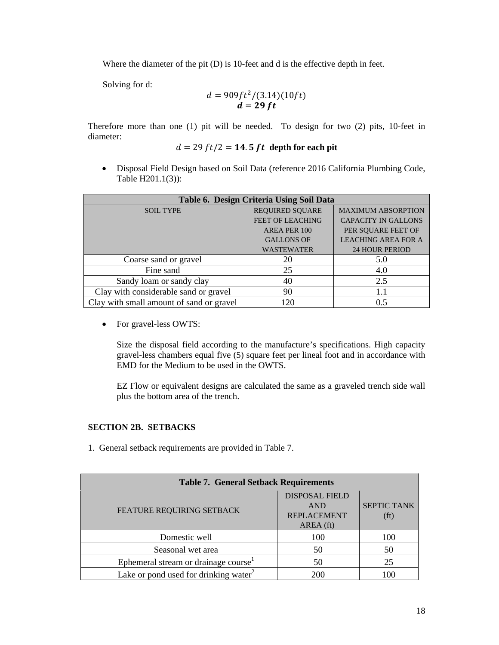Where the diameter of the pit (D) is 10-feet and d is the effective depth in feet.

Solving for d:

$$
d = 909 ft^2/(3.14)(10 ft)
$$
  

$$
d = 29 ft
$$

Therefore more than one (1) pit will be needed. To design for two (2) pits, 10-feet in diameter:

$$
d = 29 ft/2 = 14.5 ft depth for each pit
$$

• Disposal Field Design based on Soil Data (reference 2016 California Plumbing Code, Table H201.1(3)):

| Table 6. Design Criteria Using Soil Data |                         |                            |
|------------------------------------------|-------------------------|----------------------------|
| <b>SOIL TYPE</b>                         | <b>REQUIRED SQUARE</b>  | <b>MAXIMUM ABSORPTION</b>  |
|                                          | <b>FEET OF LEACHING</b> | <b>CAPACITY IN GALLONS</b> |
|                                          | AREA PER 100            | PER SOUARE FEET OF         |
|                                          | <b>GALLONS OF</b>       | <b>LEACHING AREA FOR A</b> |
|                                          | <b>WASTEWATER</b>       | <b>24 HOUR PERIOD</b>      |
| Coarse sand or gravel                    | 20                      | 5.0                        |
| Fine sand                                | 25                      | 4.0                        |
| Sandy loam or sandy clay                 | 40                      | 2.5                        |
| Clay with considerable sand or gravel    | 90                      | 1.1                        |
| Clay with small amount of sand or gravel | 120                     | 0.5                        |

• For gravel-less OWTS:

Size the disposal field according to the manufacture's specifications. High capacity gravel-less chambers equal five (5) square feet per lineal foot and in accordance with EMD for the Medium to be used in the OWTS.

EZ Flow or equivalent designs are calculated the same as a graveled trench side wall plus the bottom area of the trench.

# <span id="page-19-0"></span>**SECTION 2B. SETBACKS**

1. General setback requirements are provided in Table 7.

| <b>Table 7. General Setback Requirements</b>      |                                                                        |                                         |
|---------------------------------------------------|------------------------------------------------------------------------|-----------------------------------------|
| FEATURE REQUIRING SETBACK                         | <b>DISPOSAL FIELD</b><br><b>AND</b><br><b>REPLACEMENT</b><br>AREA (ft) | <b>SEPTIC TANK</b><br>(f <sub>t</sub> ) |
| Domestic well                                     | 100                                                                    | 100                                     |
| Seasonal wet area                                 | 50                                                                     | 50                                      |
| Ephemeral stream or drainage course               | 50                                                                     | 25                                      |
| Lake or pond used for drinking water <sup>2</sup> | 200                                                                    | 100                                     |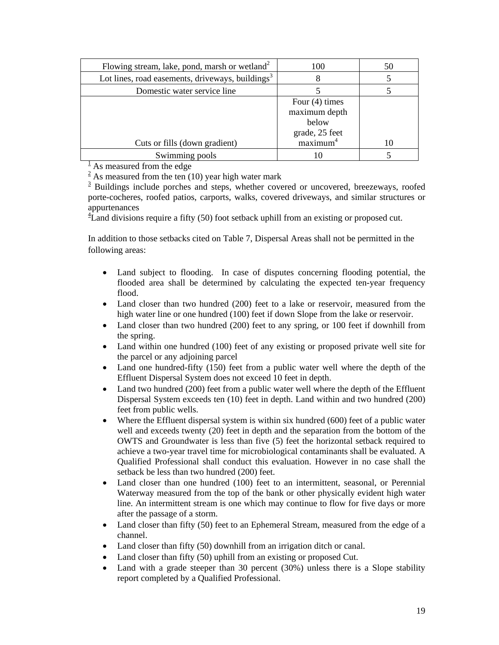| Flowing stream, lake, pond, marsh or wetland <sup>2</sup>    | 100                                                                                  | 50 |
|--------------------------------------------------------------|--------------------------------------------------------------------------------------|----|
| Lot lines, road easements, driveways, buildings <sup>3</sup> | 8                                                                                    |    |
| Domestic water service line                                  |                                                                                      |    |
| Cuts or fills (down gradient)                                | Four $(4)$ times<br>maximum depth<br>below<br>grade, 25 feet<br>maximum <sup>4</sup> | 10 |
| Swimming pools                                               |                                                                                      |    |

 $\frac{1}{1}$  As measured from the edge

 $\frac{2}{3}$  As measured from the ten (10) year high water mark

 $\frac{3}{2}$  Buildings include porches and steps, whether covered or uncovered, breezeways, roofed porte-cocheres, roofed patios, carports, walks, covered driveways, and similar structures or appurtenances

 ${}^{4}$ Land divisions require a fifty (50) foot setback uphill from an existing or proposed cut.

In addition to those setbacks cited on Table 7, Dispersal Areas shall not be permitted in the following areas:

- Land subject to flooding. In case of disputes concerning flooding potential, the flooded area shall be determined by calculating the expected ten-year frequency flood.
- Land closer than two hundred (200) feet to a lake or reservoir, measured from the high water line or one hundred (100) feet if down Slope from the lake or reservoir.
- Land closer than two hundred (200) feet to any spring, or 100 feet if downhill from the spring.
- Land within one hundred (100) feet of any existing or proposed private well site for the parcel or any adjoining parcel
- Land one hundred-fifty (150) feet from a public water well where the depth of the Effluent Dispersal System does not exceed 10 feet in depth.
- Land two hundred (200) feet from a public water well where the depth of the Effluent Dispersal System exceeds ten (10) feet in depth. Land within and two hundred (200) feet from public wells.
- Where the Effluent dispersal system is within six hundred (600) feet of a public water well and exceeds twenty (20) feet in depth and the separation from the bottom of the OWTS and Groundwater is less than five (5) feet the horizontal setback required to achieve a two-year travel time for microbiological contaminants shall be evaluated. A Qualified Professional shall conduct this evaluation. However in no case shall the setback be less than two hundred (200) feet.
- Land closer than one hundred (100) feet to an intermittent, seasonal, or Perennial Waterway measured from the top of the bank or other physically evident high water line. An intermittent stream is one which may continue to flow for five days or more after the passage of a storm.
- Land closer than fifty (50) feet to an Ephemeral Stream, measured from the edge of a channel.
- Land closer than fifty (50) downhill from an irrigation ditch or canal.
- Land closer than fifty (50) uphill from an existing or proposed Cut.
- Land with a grade steeper than 30 percent (30%) unless there is a Slope stability report completed by a Qualified Professional.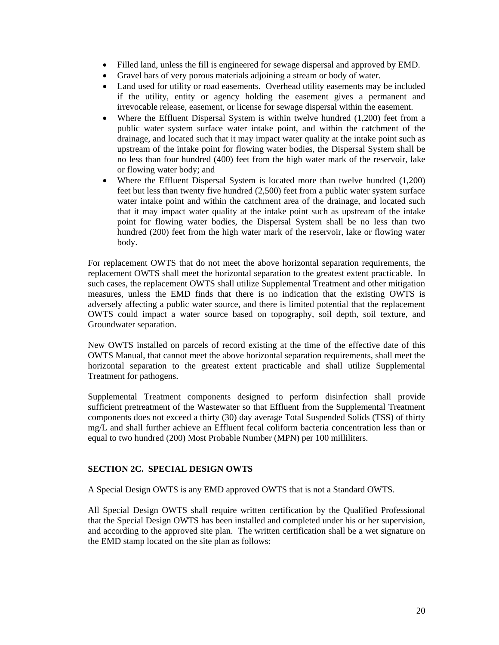- Filled land, unless the fill is engineered for sewage dispersal and approved by EMD.
- Gravel bars of very porous materials adjoining a stream or body of water.
- Land used for utility or road easements. Overhead utility easements may be included if the utility, entity or agency holding the easement gives a permanent and irrevocable release, easement, or license for sewage dispersal within the easement.
- Where the Effluent Dispersal System is within twelve hundred (1,200) feet from a public water system surface water intake point, and within the catchment of the drainage, and located such that it may impact water quality at the intake point such as upstream of the intake point for flowing water bodies, the Dispersal System shall be no less than four hundred (400) feet from the high water mark of the reservoir, lake or flowing water body; and
- Where the Effluent Dispersal System is located more than twelve hundred (1,200) feet but less than twenty five hundred (2,500) feet from a public water system surface water intake point and within the catchment area of the drainage, and located such that it may impact water quality at the intake point such as upstream of the intake point for flowing water bodies, the Dispersal System shall be no less than two hundred (200) feet from the high water mark of the reservoir, lake or flowing water body.

For replacement OWTS that do not meet the above horizontal separation requirements, the replacement OWTS shall meet the horizontal separation to the greatest extent practicable. In such cases, the replacement OWTS shall utilize Supplemental Treatment and other mitigation measures, unless the EMD finds that there is no indication that the existing OWTS is adversely affecting a public water source, and there is limited potential that the replacement OWTS could impact a water source based on topography, soil depth, soil texture, and Groundwater separation.

New OWTS installed on parcels of record existing at the time of the effective date of this OWTS Manual, that cannot meet the above horizontal separation requirements, shall meet the horizontal separation to the greatest extent practicable and shall utilize Supplemental Treatment for pathogens.

Supplemental Treatment components designed to perform disinfection shall provide sufficient pretreatment of the Wastewater so that Effluent from the Supplemental Treatment components does not exceed a thirty (30) day average Total Suspended Solids (TSS) of thirty mg/L and shall further achieve an Effluent fecal coliform bacteria concentration less than or equal to two hundred (200) Most Probable Number (MPN) per 100 milliliters.

#### <span id="page-21-0"></span>**SECTION 2C. SPECIAL DESIGN OWTS**

A Special Design OWTS is any EMD approved OWTS that is not a Standard OWTS.

All Special Design OWTS shall require written certification by the Qualified Professional that the Special Design OWTS has been installed and completed under his or her supervision, and according to the approved site plan. The written certification shall be a wet signature on the EMD stamp located on the site plan as follows: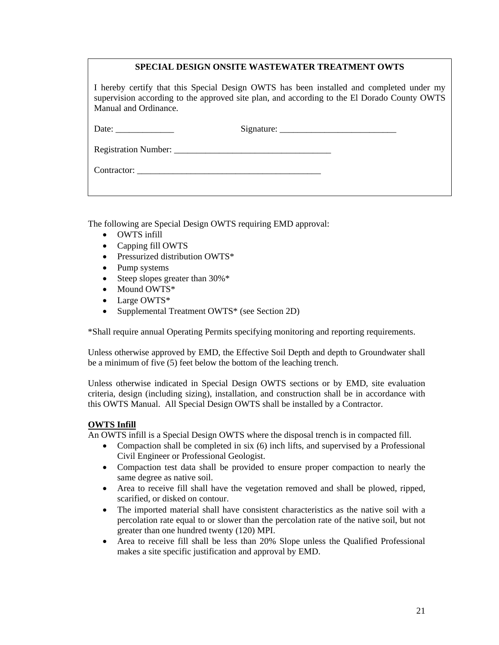|                                                                                                                                                                                                                  | SPECIAL DESIGN ONSITE WASTEWATER TREATMENT OWTS |  |
|------------------------------------------------------------------------------------------------------------------------------------------------------------------------------------------------------------------|-------------------------------------------------|--|
| I hereby certify that this Special Design OWTS has been installed and completed under my<br>supervision according to the approved site plan, and according to the El Dorado County OWTS<br>Manual and Ordinance. |                                                 |  |
|                                                                                                                                                                                                                  |                                                 |  |
|                                                                                                                                                                                                                  |                                                 |  |
|                                                                                                                                                                                                                  |                                                 |  |
|                                                                                                                                                                                                                  |                                                 |  |

The following are Special Design OWTS requiring EMD approval:

- OWTS infill
- Capping fill OWTS
- Pressurized distribution OWTS\*
- Pump systems
- Steep slopes greater than  $30\%$ <sup>\*</sup>
- Mound OWTS\*
- Large OWTS\*
- Supplemental Treatment OWTS<sup>\*</sup> (see Section 2D)

\*Shall require annual Operating Permits specifying monitoring and reporting requirements.

Unless otherwise approved by EMD, the Effective Soil Depth and depth to Groundwater shall be a minimum of five (5) feet below the bottom of the leaching trench.

Unless otherwise indicated in Special Design OWTS sections or by EMD, site evaluation criteria, design (including sizing), installation, and construction shall be in accordance with this OWTS Manual. All Special Design OWTS shall be installed by a Contractor.

#### **OWTS Infill**

An OWTS infill is a Special Design OWTS where the disposal trench is in compacted fill.

- Compaction shall be completed in six  $(6)$  inch lifts, and supervised by a Professional Civil Engineer or Professional Geologist.
- Compaction test data shall be provided to ensure proper compaction to nearly the same degree as native soil.
- Area to receive fill shall have the vegetation removed and shall be plowed, ripped, scarified, or disked on contour.
- The imported material shall have consistent characteristics as the native soil with a percolation rate equal to or slower than the percolation rate of the native soil, but not greater than one hundred twenty (120) MPI.
- Area to receive fill shall be less than 20% Slope unless the Qualified Professional makes a site specific justification and approval by EMD.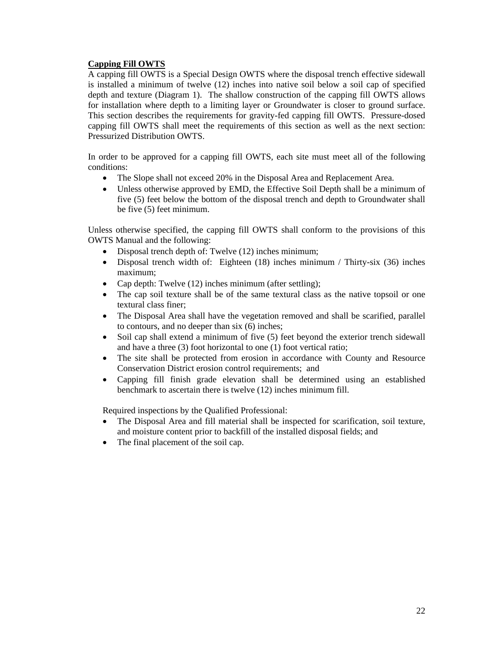# **Capping Fill OWTS**

A capping fill OWTS is a Special Design OWTS where the disposal trench effective sidewall is installed a minimum of twelve (12) inches into native soil below a soil cap of specified depth and texture (Diagram 1). The shallow construction of the capping fill OWTS allows for installation where depth to a limiting layer or Groundwater is closer to ground surface. This section describes the requirements for gravity-fed capping fill OWTS. Pressure-dosed capping fill OWTS shall meet the requirements of this section as well as the next section: Pressurized Distribution OWTS.

In order to be approved for a capping fill OWTS, each site must meet all of the following conditions:

- The Slope shall not exceed 20% in the Disposal Area and Replacement Area.
- Unless otherwise approved by EMD, the Effective Soil Depth shall be a minimum of five (5) feet below the bottom of the disposal trench and depth to Groundwater shall be five (5) feet minimum.

Unless otherwise specified, the capping fill OWTS shall conform to the provisions of this OWTS Manual and the following:

- Disposal trench depth of: Twelve (12) inches minimum;
- Disposal trench width of: Eighteen (18) inches minimum / Thirty-six (36) inches maximum;
- Cap depth: Twelve (12) inches minimum (after settling);
- The cap soil texture shall be of the same textural class as the native topsoil or one textural class finer;
- The Disposal Area shall have the vegetation removed and shall be scarified, parallel to contours, and no deeper than six (6) inches;
- Soil cap shall extend a minimum of five (5) feet beyond the exterior trench sidewall and have a three (3) foot horizontal to one (1) foot vertical ratio;
- The site shall be protected from erosion in accordance with County and Resource Conservation District erosion control requirements; and
- Capping fill finish grade elevation shall be determined using an established benchmark to ascertain there is twelve (12) inches minimum fill.

Required inspections by the Qualified Professional:

- The Disposal Area and fill material shall be inspected for scarification, soil texture, and moisture content prior to backfill of the installed disposal fields; and
- The final placement of the soil cap.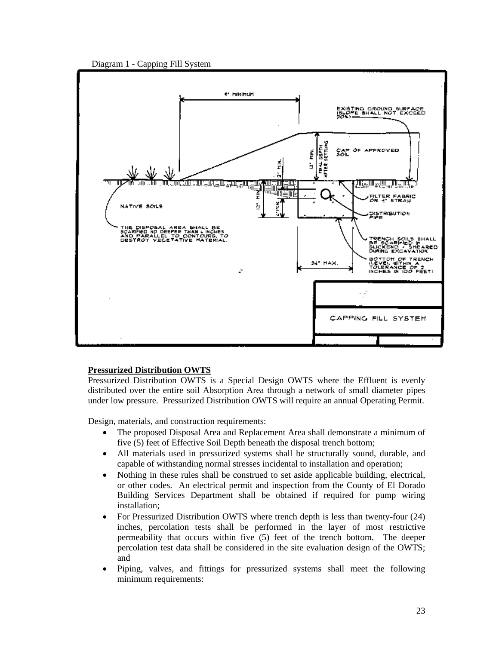



#### **Pressurized Distribution OWTS**

Pressurized Distribution OWTS is a Special Design OWTS where the Effluent is evenly distributed over the entire soil Absorption Area through a network of small diameter pipes under low pressure. Pressurized Distribution OWTS will require an annual Operating Permit.

Design, materials, and construction requirements:

- The proposed Disposal Area and Replacement Area shall demonstrate a minimum of five (5) feet of Effective Soil Depth beneath the disposal trench bottom;
- All materials used in pressurized systems shall be structurally sound, durable, and capable of withstanding normal stresses incidental to installation and operation;
- Nothing in these rules shall be construed to set aside applicable building, electrical, or other codes. An electrical permit and inspection from the County of El Dorado Building Services Department shall be obtained if required for pump wiring installation;
- For Pressurized Distribution OWTS where trench depth is less than twenty-four (24) inches, percolation tests shall be performed in the layer of most restrictive permeability that occurs within five (5) feet of the trench bottom. The deeper percolation test data shall be considered in the site evaluation design of the OWTS; and
- Piping, valves, and fittings for pressurized systems shall meet the following minimum requirements: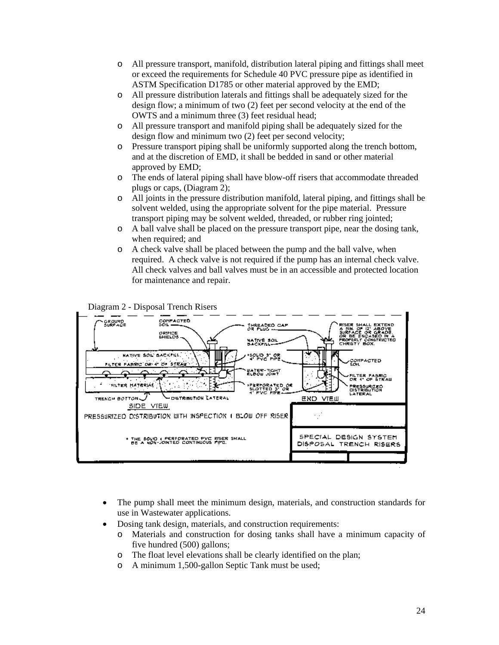- o All pressure transport, manifold, distribution lateral piping and fittings shall meet or exceed the requirements for Schedule 40 PVC pressure pipe as identified in ASTM Specification D1785 or other material approved by the EMD;
- o All pressure distribution laterals and fittings shall be adequately sized for the design flow; a minimum of two (2) feet per second velocity at the end of the OWTS and a minimum three (3) feet residual head;
- o All pressure transport and manifold piping shall be adequately sized for the design flow and minimum two (2) feet per second velocity;
- o Pressure transport piping shall be uniformly supported along the trench bottom, and at the discretion of EMD, it shall be bedded in sand or other material approved by EMD;
- o The ends of lateral piping shall have blow-off risers that accommodate threaded plugs or caps, (Diagram 2);
- o All joints in the pressure distribution manifold, lateral piping, and fittings shall be solvent welded, using the appropriate solvent for the pipe material. Pressure transport piping may be solvent welded, threaded, or rubber ring jointed;
- o A ball valve shall be placed on the pressure transport pipe, near the dosing tank, when required; and
- o A check valve shall be placed between the pump and the ball valve, when required. A check valve is not required if the pump has an internal check valve. All check valves and ball valves must be in an accessible and protected location for maintenance and repair.



Diagram 2 - Disposal Trench Risers

- The pump shall meet the minimum design, materials, and construction standards for use in Wastewater applications.
- Dosing tank design, materials, and construction requirements:
	- o Materials and construction for dosing tanks shall have a minimum capacity of five hundred (500) gallons;
	- o The float level elevations shall be clearly identified on the plan;<br>  $\circ$  A minimum 1.500-gallon Septic Tank must be used:
	- A minimum 1,500-gallon Septic Tank must be used;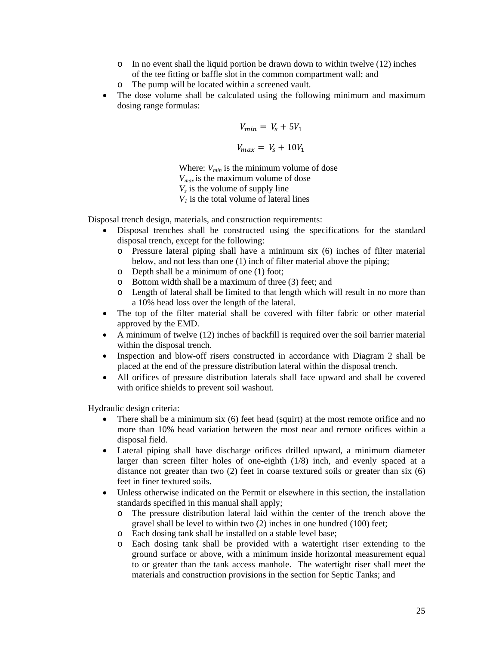- $\circ$  In no event shall the liquid portion be drawn down to within twelve (12) inches of the tee fitting or baffle slot in the common compartment wall; and
- o The pump will be located within a screened vault.
- The dose volume shall be calculated using the following minimum and maximum dosing range formulas:

$$
V_{min} = V_s + 5V_1
$$

$$
V_{max} = V_s + 10V_1
$$

Where:  $V_{min}$  is the minimum volume of dose *Vmax* is the maximum volume of dose  $V<sub>s</sub>$  is the volume of supply line  $V_1$  is the total volume of lateral lines

Disposal trench design, materials, and construction requirements:

- Disposal trenches shall be constructed using the specifications for the standard disposal trench, except for the following:
	- o Pressure lateral piping shall have a minimum six (6) inches of filter material below, and not less than one (1) inch of filter material above the piping;
	- o Depth shall be a minimum of one (1) foot;
	- o Bottom width shall be a maximum of three (3) feet; and
	- o Length of lateral shall be limited to that length which will result in no more than a 10% head loss over the length of the lateral.
- The top of the filter material shall be covered with filter fabric or other material approved by the EMD.
- A minimum of twelve (12) inches of backfill is required over the soil barrier material within the disposal trench.
- Inspection and blow-off risers constructed in accordance with Diagram 2 shall be placed at the end of the pressure distribution lateral within the disposal trench.
- All orifices of pressure distribution laterals shall face upward and shall be covered with orifice shields to prevent soil washout.

Hydraulic design criteria:

- There shall be a minimum six (6) feet head (squirt) at the most remote orifice and no more than 10% head variation between the most near and remote orifices within a disposal field.
- Lateral piping shall have discharge orifices drilled upward, a minimum diameter larger than screen filter holes of one-eighth (1/8) inch, and evenly spaced at a distance not greater than two  $(2)$  feet in coarse textured soils or greater than six  $(6)$ feet in finer textured soils.
- Unless otherwise indicated on the Permit or elsewhere in this section, the installation standards specified in this manual shall apply;
	- o The pressure distribution lateral laid within the center of the trench above the gravel shall be level to within two (2) inches in one hundred (100) feet;
	- o Each dosing tank shall be installed on a stable level base;<br>  $\circ$  Each dosing tank shall be provided with a watertight
	- Each dosing tank shall be provided with a watertight riser extending to the ground surface or above, with a minimum inside horizontal measurement equal to or greater than the tank access manhole. The watertight riser shall meet the materials and construction provisions in the section for Septic Tanks; and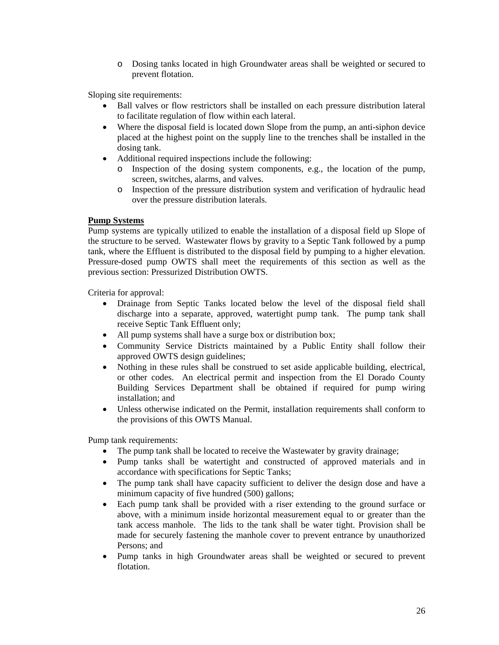o Dosing tanks located in high Groundwater areas shall be weighted or secured to prevent flotation.

Sloping site requirements:

- Ball valves or flow restrictors shall be installed on each pressure distribution lateral to facilitate regulation of flow within each lateral.
- Where the disposal field is located down Slope from the pump, an anti-siphon device placed at the highest point on the supply line to the trenches shall be installed in the dosing tank.
- Additional required inspections include the following:
	- $\circ$  Inspection of the dosing system components, e.g., the location of the pump, screen, switches, alarms, and valves.
	- o Inspection of the pressure distribution system and verification of hydraulic head over the pressure distribution laterals.

#### **Pump Systems**

Pump systems are typically utilized to enable the installation of a disposal field up Slope of the structure to be served. Wastewater flows by gravity to a Septic Tank followed by a pump tank, where the Effluent is distributed to the disposal field by pumping to a higher elevation. Pressure-dosed pump OWTS shall meet the requirements of this section as well as the previous section: Pressurized Distribution OWTS.

Criteria for approval:

- Drainage from Septic Tanks located below the level of the disposal field shall discharge into a separate, approved, watertight pump tank. The pump tank shall receive Septic Tank Effluent only;
- All pump systems shall have a surge box or distribution box;
- Community Service Districts maintained by a Public Entity shall follow their approved OWTS design guidelines;
- Nothing in these rules shall be construed to set aside applicable building, electrical, or other codes. An electrical permit and inspection from the El Dorado County Building Services Department shall be obtained if required for pump wiring installation; and
- Unless otherwise indicated on the Permit, installation requirements shall conform to the provisions of this OWTS Manual.

Pump tank requirements:

- The pump tank shall be located to receive the Wastewater by gravity drainage;
- Pump tanks shall be watertight and constructed of approved materials and in accordance with specifications for Septic Tanks;
- The pump tank shall have capacity sufficient to deliver the design dose and have a minimum capacity of five hundred (500) gallons;
- Each pump tank shall be provided with a riser extending to the ground surface or above, with a minimum inside horizontal measurement equal to or greater than the tank access manhole. The lids to the tank shall be water tight. Provision shall be made for securely fastening the manhole cover to prevent entrance by unauthorized Persons; and
- Pump tanks in high Groundwater areas shall be weighted or secured to prevent flotation.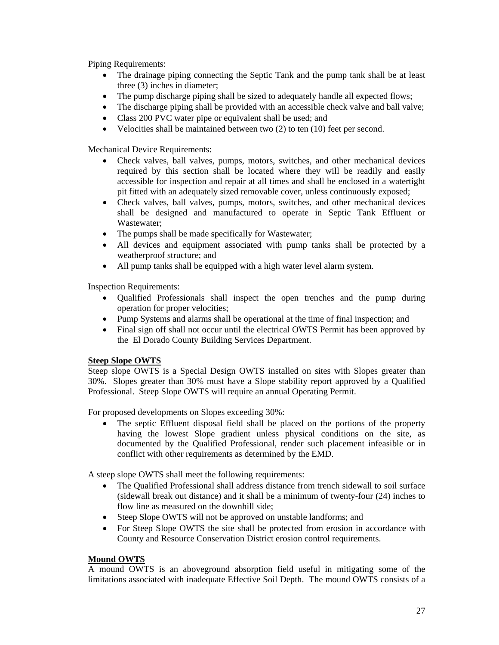Piping Requirements:

- The drainage piping connecting the Septic Tank and the pump tank shall be at least three (3) inches in diameter;
- The pump discharge piping shall be sized to adequately handle all expected flows;
- The discharge piping shall be provided with an accessible check valve and ball valve;
- Class 200 PVC water pipe or equivalent shall be used; and
- Velocities shall be maintained between two (2) to ten (10) feet per second.

Mechanical Device Requirements:

- Check valves, ball valves, pumps, motors, switches, and other mechanical devices required by this section shall be located where they will be readily and easily accessible for inspection and repair at all times and shall be enclosed in a watertight pit fitted with an adequately sized removable cover, unless continuously exposed;
- Check valves, ball valves, pumps, motors, switches, and other mechanical devices shall be designed and manufactured to operate in Septic Tank Effluent or Wastewater;
- The pumps shall be made specifically for Wastewater;
- All devices and equipment associated with pump tanks shall be protected by a weatherproof structure; and
- All pump tanks shall be equipped with a high water level alarm system.

Inspection Requirements:

- Qualified Professionals shall inspect the open trenches and the pump during operation for proper velocities;
- Pump Systems and alarms shall be operational at the time of final inspection; and
- Final sign off shall not occur until the electrical OWTS Permit has been approved by the El Dorado County Building Services Department.

#### **Steep Slope OWTS**

Steep slope OWTS is a Special Design OWTS installed on sites with Slopes greater than 30%. Slopes greater than 30% must have a Slope stability report approved by a Qualified Professional. Steep Slope OWTS will require an annual Operating Permit.

For proposed developments on Slopes exceeding 30%:

• The septic Effluent disposal field shall be placed on the portions of the property having the lowest Slope gradient unless physical conditions on the site, as documented by the Qualified Professional, render such placement infeasible or in conflict with other requirements as determined by the EMD.

A steep slope OWTS shall meet the following requirements:

- The Qualified Professional shall address distance from trench sidewall to soil surface (sidewall break out distance) and it shall be a minimum of twenty-four (24) inches to flow line as measured on the downhill side;
- Steep Slope OWTS will not be approved on unstable landforms; and
- For Steep Slope OWTS the site shall be protected from erosion in accordance with County and Resource Conservation District erosion control requirements.

#### **Mound OWTS**

A mound OWTS is an aboveground absorption field useful in mitigating some of the limitations associated with inadequate Effective Soil Depth. The mound OWTS consists of a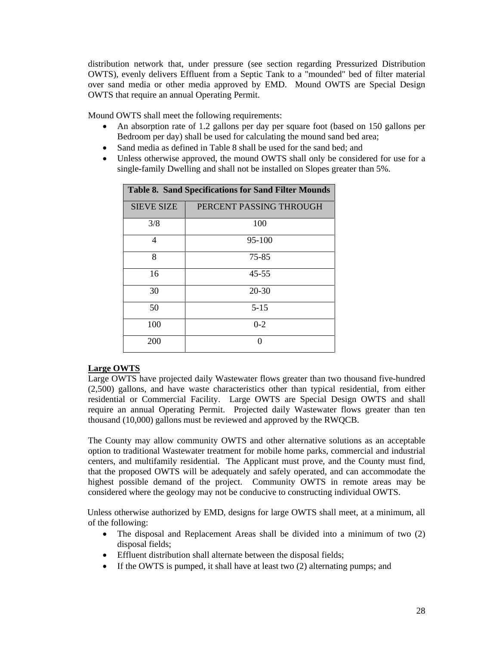distribution network that, under pressure (see section regarding Pressurized Distribution OWTS), evenly delivers Effluent from a Septic Tank to a "mounded" bed of filter material over sand media or other media approved by EMD. Mound OWTS are Special Design OWTS that require an annual Operating Permit.

Mound OWTS shall meet the following requirements:

- An absorption rate of 1.2 gallons per day per square foot (based on 150 gallons per Bedroom per day) shall be used for calculating the mound sand bed area;
- Sand media as defined in Table 8 shall be used for the sand bed; and
- Unless otherwise approved, the mound OWTS shall only be considered for use for a single-family Dwelling and shall not be installed on Slopes greater than 5%.

| <b>Table 8. Sand Specifications for Sand Filter Mounds</b> |                         |
|------------------------------------------------------------|-------------------------|
| <b>SIEVE SIZE</b>                                          | PERCENT PASSING THROUGH |
| 3/8                                                        | 100                     |
| 4                                                          | $95-100$                |
| 8                                                          | 75-85                   |
| 16                                                         | $45 - 55$               |
| 30                                                         | $20 - 30$               |
| 50                                                         | 5-15                    |
| 100                                                        | $0 - 2$                 |
| 200                                                        | ∩                       |

#### **Large OWTS**

Large OWTS have projected daily Wastewater flows greater than two thousand five-hundred (2,500) gallons, and have waste characteristics other than typical residential, from either residential or Commercial Facility. Large OWTS are Special Design OWTS and shall require an annual Operating Permit. Projected daily Wastewater flows greater than ten thousand (10,000) gallons must be reviewed and approved by the RWQCB.

The County may allow community OWTS and other alternative solutions as an acceptable option to traditional Wastewater treatment for mobile home parks, commercial and industrial centers, and multifamily residential. The Applicant must prove, and the County must find, that the proposed OWTS will be adequately and safely operated, and can accommodate the highest possible demand of the project. Community OWTS in remote areas may be considered where the geology may not be conducive to constructing individual OWTS.

Unless otherwise authorized by EMD, designs for large OWTS shall meet, at a minimum, all of the following:

- The disposal and Replacement Areas shall be divided into a minimum of two  $(2)$ disposal fields;
- Effluent distribution shall alternate between the disposal fields;
- If the OWTS is pumped, it shall have at least two (2) alternating pumps; and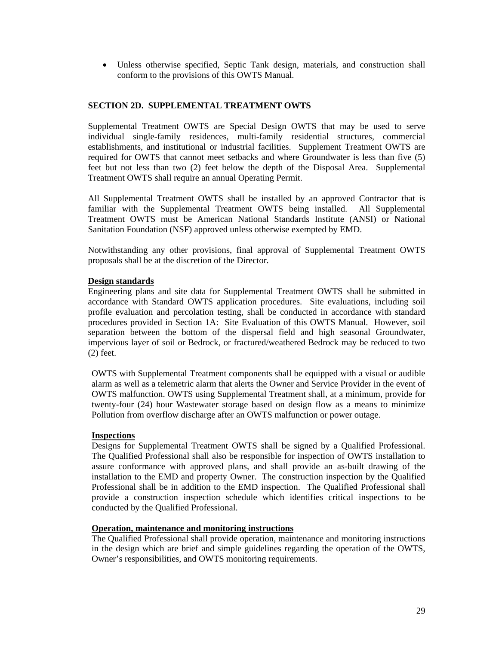• Unless otherwise specified, Septic Tank design, materials, and construction shall conform to the provisions of this OWTS Manual.

#### <span id="page-30-0"></span>**SECTION 2D. SUPPLEMENTAL TREATMENT OWTS**

Supplemental Treatment OWTS are Special Design OWTS that may be used to serve individual single-family residences, multi-family residential structures, commercial establishments, and institutional or industrial facilities. Supplement Treatment OWTS are required for OWTS that cannot meet setbacks and where Groundwater is less than five (5) feet but not less than two (2) feet below the depth of the Disposal Area. Supplemental Treatment OWTS shall require an annual Operating Permit.

All Supplemental Treatment OWTS shall be installed by an approved Contractor that is familiar with the Supplemental Treatment OWTS being installed. All Supplemental Treatment OWTS must be American National Standards Institute (ANSI) or National Sanitation Foundation (NSF) approved unless otherwise exempted by EMD.

Notwithstanding any other provisions, final approval of Supplemental Treatment OWTS proposals shall be at the discretion of the Director.

#### **Design standards**

Engineering plans and site data for Supplemental Treatment OWTS shall be submitted in accordance with Standard OWTS application procedures. Site evaluations, including soil profile evaluation and percolation testing, shall be conducted in accordance with standard procedures provided in Section 1A: Site Evaluation of this OWTS Manual. However, soil separation between the bottom of the dispersal field and high seasonal Groundwater, impervious layer of soil or Bedrock, or fractured/weathered Bedrock may be reduced to two (2) feet.

OWTS with Supplemental Treatment components shall be equipped with a visual or audible alarm as well as a telemetric alarm that alerts the Owner and Service Provider in the event of OWTS malfunction. OWTS using Supplemental Treatment shall, at a minimum, provide for twenty-four (24) hour Wastewater storage based on design flow as a means to minimize Pollution from overflow discharge after an OWTS malfunction or power outage.

#### **Inspections**

Designs for Supplemental Treatment OWTS shall be signed by a Qualified Professional. The Qualified Professional shall also be responsible for inspection of OWTS installation to assure conformance with approved plans, and shall provide an as-built drawing of the installation to the EMD and property Owner. The construction inspection by the Qualified Professional shall be in addition to the EMD inspection. The Qualified Professional shall provide a construction inspection schedule which identifies critical inspections to be conducted by the Qualified Professional.

#### **Operation, maintenance and monitoring instructions**

The Qualified Professional shall provide operation, maintenance and monitoring instructions in the design which are brief and simple guidelines regarding the operation of the OWTS, Owner's responsibilities, and OWTS monitoring requirements.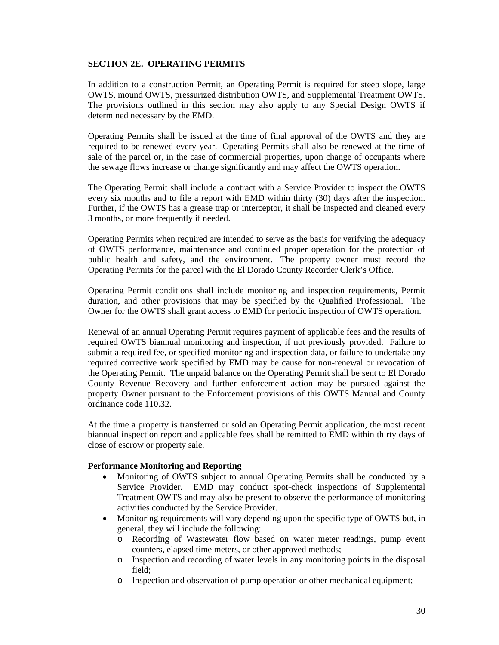# <span id="page-31-0"></span>**SECTION 2E. OPERATING PERMITS**

In addition to a construction Permit, an Operating Permit is required for steep slope, large OWTS, mound OWTS, pressurized distribution OWTS, and Supplemental Treatment OWTS. The provisions outlined in this section may also apply to any Special Design OWTS if determined necessary by the EMD.

Operating Permits shall be issued at the time of final approval of the OWTS and they are required to be renewed every year. Operating Permits shall also be renewed at the time of sale of the parcel or, in the case of commercial properties, upon change of occupants where the sewage flows increase or change significantly and may affect the OWTS operation.

The Operating Permit shall include a contract with a Service Provider to inspect the OWTS every six months and to file a report with EMD within thirty (30) days after the inspection. Further, if the OWTS has a grease trap or interceptor, it shall be inspected and cleaned every 3 months, or more frequently if needed.

Operating Permits when required are intended to serve as the basis for verifying the adequacy of OWTS performance, maintenance and continued proper operation for the protection of public health and safety, and the environment. The property owner must record the Operating Permits for the parcel with the El Dorado County Recorder Clerk's Office.

Operating Permit conditions shall include monitoring and inspection requirements, Permit duration, and other provisions that may be specified by the Qualified Professional. The Owner for the OWTS shall grant access to EMD for periodic inspection of OWTS operation.

Renewal of an annual Operating Permit requires payment of applicable fees and the results of required OWTS biannual monitoring and inspection, if not previously provided. Failure to submit a required fee, or specified monitoring and inspection data, or failure to undertake any required corrective work specified by EMD may be cause for non-renewal or revocation of the Operating Permit. The unpaid balance on the Operating Permit shall be sent to El Dorado County Revenue Recovery and further enforcement action may be pursued against the property Owner pursuant to the Enforcement provisions of this OWTS Manual and County ordinance code 110.32.

At the time a property is transferred or sold an Operating Permit application, the most recent biannual inspection report and applicable fees shall be remitted to EMD within thirty days of close of escrow or property sale.

#### **Performance Monitoring and Reporting**

- Monitoring of OWTS subject to annual Operating Permits shall be conducted by a Service Provider. EMD may conduct spot-check inspections of Supplemental Treatment OWTS and may also be present to observe the performance of monitoring activities conducted by the Service Provider.
- Monitoring requirements will vary depending upon the specific type of OWTS but, in general, they will include the following:
	- o Recording of Wastewater flow based on water meter readings, pump event counters, elapsed time meters, or other approved methods;
	- o Inspection and recording of water levels in any monitoring points in the disposal field;
	- o Inspection and observation of pump operation or other mechanical equipment;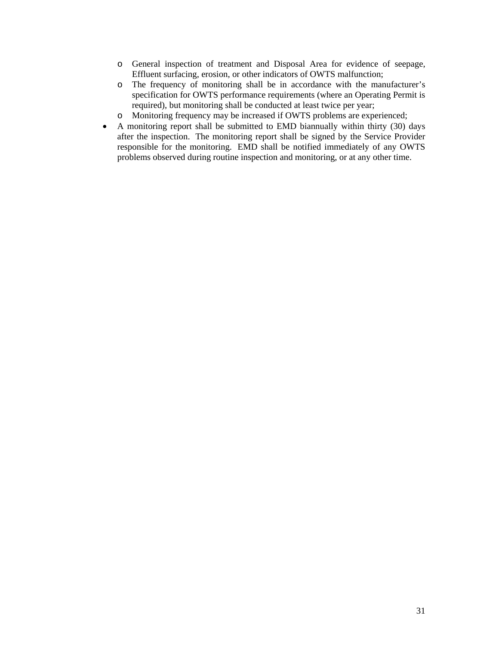- o General inspection of treatment and Disposal Area for evidence of seepage, Effluent surfacing, erosion, or other indicators of OWTS malfunction;
- o The frequency of monitoring shall be in accordance with the manufacturer's specification for OWTS performance requirements (where an Operating Permit is required), but monitoring shall be conducted at least twice per year;
- o Monitoring frequency may be increased if OWTS problems are experienced;
- A monitoring report shall be submitted to EMD biannually within thirty (30) days after the inspection. The monitoring report shall be signed by the Service Provider responsible for the monitoring. EMD shall be notified immediately of any OWTS problems observed during routine inspection and monitoring, or at any other time.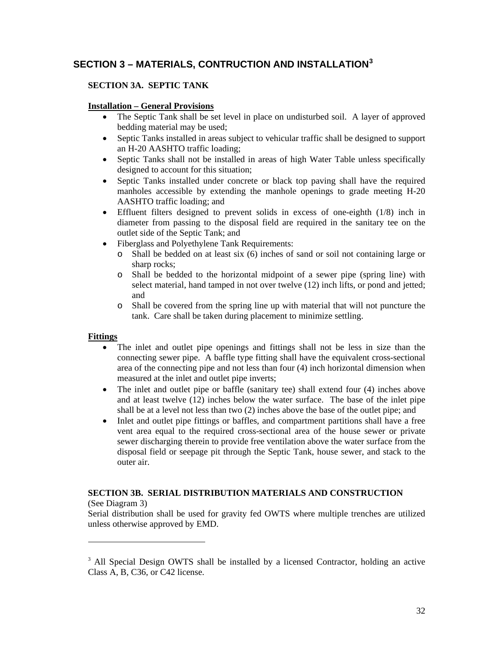# <span id="page-33-0"></span>**SECTION 3 – MATERIALS, CONTRUCTION AND INSTALLATION[3](#page-33-3)**

# <span id="page-33-1"></span>**SECTION 3A. SEPTIC TANK**

#### **Installation – General Provisions**

- The Septic Tank shall be set level in place on undisturbed soil. A layer of approved bedding material may be used;
- Septic Tanks installed in areas subject to vehicular traffic shall be designed to support an H-20 AASHTO traffic loading;
- Septic Tanks shall not be installed in areas of high Water Table unless specifically designed to account for this situation;
- Septic Tanks installed under concrete or black top paving shall have the required manholes accessible by extending the manhole openings to grade meeting H-20 AASHTO traffic loading; and
- Effluent filters designed to prevent solids in excess of one-eighth (1/8) inch in diameter from passing to the disposal field are required in the sanitary tee on the outlet side of the Septic Tank; and
- Fiberglass and Polyethylene Tank Requirements:
	- o Shall be bedded on at least six (6) inches of sand or soil not containing large or sharp rocks:
	- o Shall be bedded to the horizontal midpoint of a sewer pipe (spring line) with select material, hand tamped in not over twelve (12) inch lifts, or pond and jetted; and
	- o Shall be covered from the spring line up with material that will not puncture the tank. Care shall be taken during placement to minimize settling.

#### **Fittings**

 $\overline{a}$ 

- The inlet and outlet pipe openings and fittings shall not be less in size than the connecting sewer pipe. A baffle type fitting shall have the equivalent cross-sectional area of the connecting pipe and not less than four (4) inch horizontal dimension when measured at the inlet and outlet pipe inverts;
- The inlet and outlet pipe or baffle (sanitary tee) shall extend four (4) inches above and at least twelve  $(12)$  inches below the water surface. The base of the inlet pipe shall be at a level not less than two (2) inches above the base of the outlet pipe; and
- Inlet and outlet pipe fittings or baffles, and compartment partitions shall have a free vent area equal to the required cross-sectional area of the house sewer or private sewer discharging therein to provide free ventilation above the water surface from the disposal field or seepage pit through the Septic Tank, house sewer, and stack to the outer air.

#### <span id="page-33-2"></span>**SECTION 3B. SERIAL DISTRIBUTION MATERIALS AND CONSTRUCTION** (See Diagram 3)

Serial distribution shall be used for gravity fed OWTS where multiple trenches are utilized unless otherwise approved by EMD.

<span id="page-33-3"></span><sup>&</sup>lt;sup>3</sup> All Special Design OWTS shall be installed by a licensed Contractor, holding an active Class A, B, C36, or C42 license.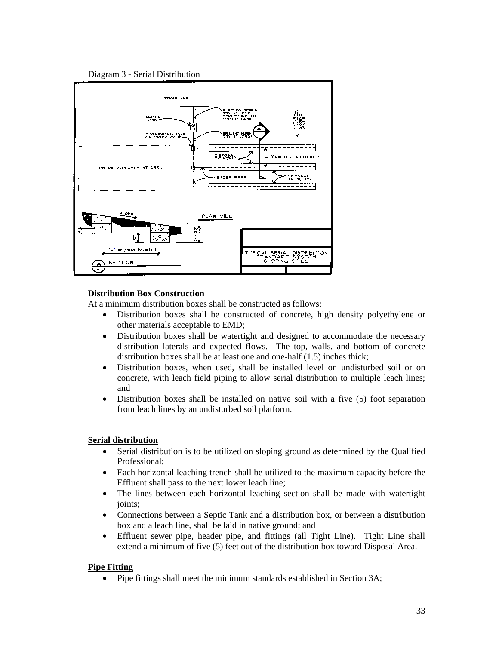



# **Distribution Box Construction**

At a minimum distribution boxes shall be constructed as follows:

- Distribution boxes shall be constructed of concrete, high density polyethylene or other materials acceptable to EMD;
- Distribution boxes shall be watertight and designed to accommodate the necessary distribution laterals and expected flows. The top, walls, and bottom of concrete distribution boxes shall be at least one and one-half (1.5) inches thick;
- Distribution boxes, when used, shall be installed level on undisturbed soil or on concrete, with leach field piping to allow serial distribution to multiple leach lines; and
- Distribution boxes shall be installed on native soil with a five (5) foot separation from leach lines by an undisturbed soil platform.

# **Serial distribution**

- Serial distribution is to be utilized on sloping ground as determined by the Qualified Professional;
- Each horizontal leaching trench shall be utilized to the maximum capacity before the Effluent shall pass to the next lower leach line;
- The lines between each horizontal leaching section shall be made with watertight joints;
- Connections between a Septic Tank and a distribution box, or between a distribution box and a leach line, shall be laid in native ground; and
- Effluent sewer pipe, header pipe, and fittings (all Tight Line). Tight Line shall extend a minimum of five (5) feet out of the distribution box toward Disposal Area.

# **Pipe Fitting**

• Pipe fittings shall meet the minimum standards established in Section 3A;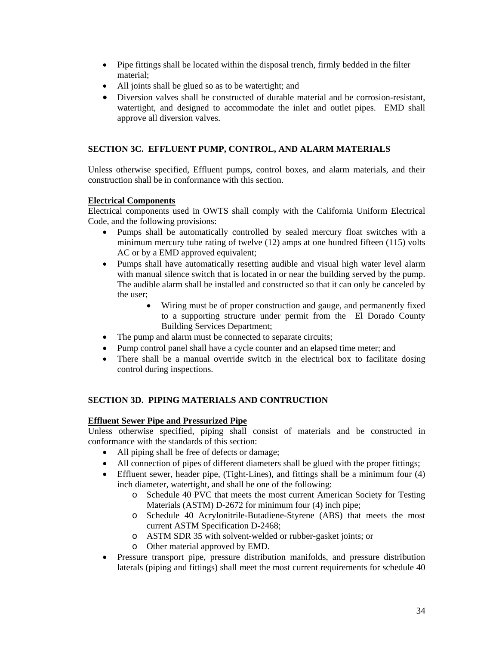- Pipe fittings shall be located within the disposal trench, firmly bedded in the filter material;
- All joints shall be glued so as to be watertight; and
- Diversion valves shall be constructed of durable material and be corrosion-resistant, watertight, and designed to accommodate the inlet and outlet pipes. EMD shall approve all diversion valves.

# <span id="page-35-0"></span>**SECTION 3C. EFFLUENT PUMP, CONTROL, AND ALARM MATERIALS**

Unless otherwise specified, Effluent pumps, control boxes, and alarm materials, and their construction shall be in conformance with this section.

# **Electrical Components**

Electrical components used in OWTS shall comply with the California Uniform Electrical Code, and the following provisions:

- Pumps shall be automatically controlled by sealed mercury float switches with a minimum mercury tube rating of twelve (12) amps at one hundred fifteen (115) volts AC or by a EMD approved equivalent;
- Pumps shall have automatically resetting audible and visual high water level alarm with manual silence switch that is located in or near the building served by the pump. The audible alarm shall be installed and constructed so that it can only be canceled by the user;
	- Wiring must be of proper construction and gauge, and permanently fixed to a supporting structure under permit from the El Dorado County Building Services Department;
- The pump and alarm must be connected to separate circuits;
- Pump control panel shall have a cycle counter and an elapsed time meter; and
- There shall be a manual override switch in the electrical box to facilitate dosing control during inspections.

#### <span id="page-35-1"></span>**SECTION 3D. PIPING MATERIALS AND CONTRUCTION**

#### **Effluent Sewer Pipe and Pressurized Pipe**

Unless otherwise specified, piping shall consist of materials and be constructed in conformance with the standards of this section:

- All piping shall be free of defects or damage;
- All connection of pipes of different diameters shall be glued with the proper fittings;
- Effluent sewer, header pipe, (Tight-Lines), and fittings shall be a minimum four (4) inch diameter, watertight, and shall be one of the following:
	- o Schedule 40 PVC that meets the most current American Society for Testing Materials (ASTM) D-2672 for minimum four (4) inch pipe;
	- o Schedule 40 Acrylonitrile-Butadiene-Styrene (ABS) that meets the most current ASTM Specification D-2468;
	- o ASTM SDR 35 with solvent-welded or rubber-gasket joints; or
	- o Other material approved by EMD.
- Pressure transport pipe, pressure distribution manifolds, and pressure distribution laterals (piping and fittings) shall meet the most current requirements for schedule 40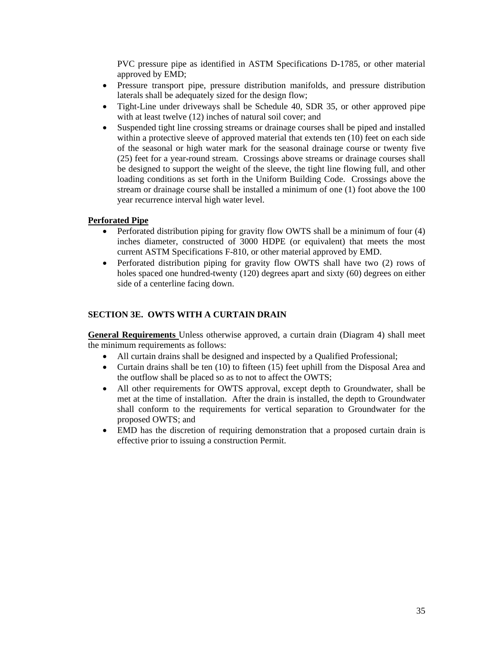PVC pressure pipe as identified in ASTM Specifications D-1785, or other material approved by EMD;

- Pressure transport pipe, pressure distribution manifolds, and pressure distribution laterals shall be adequately sized for the design flow;
- Tight-Line under driveways shall be Schedule 40, SDR 35, or other approved pipe with at least twelve (12) inches of natural soil cover; and
- Suspended tight line crossing streams or drainage courses shall be piped and installed within a protective sleeve of approved material that extends ten (10) feet on each side of the seasonal or high water mark for the seasonal drainage course or twenty five (25) feet for a year-round stream. Crossings above streams or drainage courses shall be designed to support the weight of the sleeve, the tight line flowing full, and other loading conditions as set forth in the Uniform Building Code. Crossings above the stream or drainage course shall be installed a minimum of one (1) foot above the 100 year recurrence interval high water level.

#### **Perforated Pipe**

- Perforated distribution piping for gravity flow OWTS shall be a minimum of four (4) inches diameter, constructed of 3000 HDPE (or equivalent) that meets the most current ASTM Specifications F-810, or other material approved by EMD.
- Perforated distribution piping for gravity flow OWTS shall have two (2) rows of holes spaced one hundred-twenty (120) degrees apart and sixty (60) degrees on either side of a centerline facing down.

#### <span id="page-36-0"></span>**SECTION 3E. OWTS WITH A CURTAIN DRAIN**

**General Requirements** Unless otherwise approved, a curtain drain (Diagram 4) shall meet the minimum requirements as follows:

- All curtain drains shall be designed and inspected by a Qualified Professional;
- Curtain drains shall be ten (10) to fifteen (15) feet uphill from the Disposal Area and the outflow shall be placed so as to not to affect the OWTS;
- All other requirements for OWTS approval, except depth to Groundwater, shall be met at the time of installation. After the drain is installed, the depth to Groundwater shall conform to the requirements for vertical separation to Groundwater for the proposed OWTS; and
- EMD has the discretion of requiring demonstration that a proposed curtain drain is effective prior to issuing a construction Permit.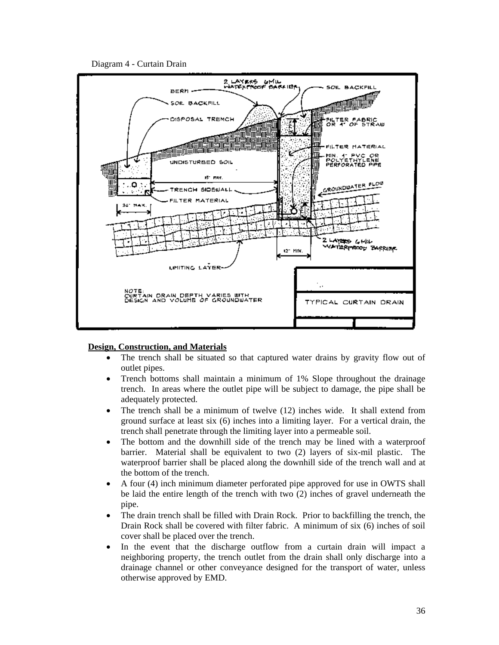



#### **Design, Construction, and Materials**

- The trench shall be situated so that captured water drains by gravity flow out of outlet pipes.
- Trench bottoms shall maintain a minimum of 1% Slope throughout the drainage trench. In areas where the outlet pipe will be subject to damage, the pipe shall be adequately protected.
- The trench shall be a minimum of twelve (12) inches wide. It shall extend from ground surface at least six (6) inches into a limiting layer. For a vertical drain, the trench shall penetrate through the limiting layer into a permeable soil.
- The bottom and the downhill side of the trench may be lined with a waterproof barrier. Material shall be equivalent to two (2) layers of six-mil plastic. The waterproof barrier shall be placed along the downhill side of the trench wall and at the bottom of the trench.
- A four (4) inch minimum diameter perforated pipe approved for use in OWTS shall be laid the entire length of the trench with two (2) inches of gravel underneath the pipe.
- The drain trench shall be filled with Drain Rock. Prior to backfilling the trench, the Drain Rock shall be covered with filter fabric. A minimum of six (6) inches of soil cover shall be placed over the trench.
- In the event that the discharge outflow from a curtain drain will impact a neighboring property, the trench outlet from the drain shall only discharge into a drainage channel or other conveyance designed for the transport of water, unless otherwise approved by EMD.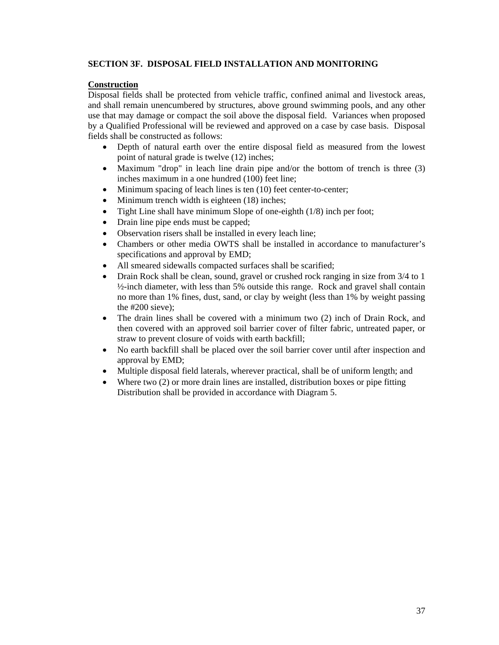### <span id="page-38-0"></span>**SECTION 3F. DISPOSAL FIELD INSTALLATION AND MONITORING**

# **Construction**

Disposal fields shall be protected from vehicle traffic, confined animal and livestock areas, and shall remain unencumbered by structures, above ground swimming pools, and any other use that may damage or compact the soil above the disposal field. Variances when proposed by a Qualified Professional will be reviewed and approved on a case by case basis. Disposal fields shall be constructed as follows:

- Depth of natural earth over the entire disposal field as measured from the lowest point of natural grade is twelve (12) inches;
- Maximum "drop" in leach line drain pipe and/or the bottom of trench is three (3) inches maximum in a one hundred (100) feet line;
- Minimum spacing of leach lines is ten (10) feet center-to-center;
- Minimum trench width is eighteen (18) inches;
- Tight Line shall have minimum Slope of one-eighth (1/8) inch per foot;
- Drain line pipe ends must be capped;
- Observation risers shall be installed in every leach line;
- Chambers or other media OWTS shall be installed in accordance to manufacturer's specifications and approval by EMD;
- All smeared sidewalls compacted surfaces shall be scarified;
- Drain Rock shall be clean, sound, gravel or crushed rock ranging in size from 3/4 to 1 ½-inch diameter, with less than 5% outside this range. Rock and gravel shall contain no more than 1% fines, dust, sand, or clay by weight (less than 1% by weight passing the #200 sieve);
- The drain lines shall be covered with a minimum two (2) inch of Drain Rock, and then covered with an approved soil barrier cover of filter fabric, untreated paper, or straw to prevent closure of voids with earth backfill;
- No earth backfill shall be placed over the soil barrier cover until after inspection and approval by EMD;
- Multiple disposal field laterals, wherever practical, shall be of uniform length; and
- Where two (2) or more drain lines are installed, distribution boxes or pipe fitting Distribution shall be provided in accordance with Diagram 5.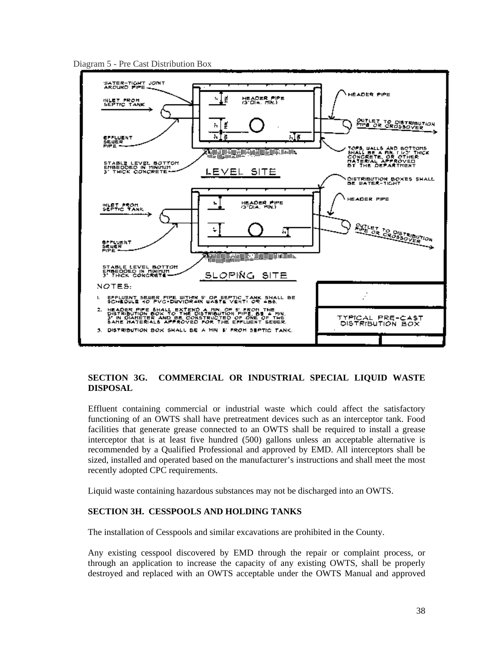Diagram 5 - Pre Cast Distribution Box



# <span id="page-39-0"></span>**SECTION 3G. COMMERCIAL OR INDUSTRIAL SPECIAL LIQUID WASTE DISPOSAL**

Effluent containing commercial or industrial waste which could affect the satisfactory functioning of an OWTS shall have pretreatment devices such as an interceptor tank. Food facilities that generate grease connected to an OWTS shall be required to install a grease interceptor that is at least five hundred (500) gallons unless an acceptable alternative is recommended by a Qualified Professional and approved by EMD. All interceptors shall be sized, installed and operated based on the manufacturer's instructions and shall meet the most recently adopted CPC requirements.

Liquid waste containing hazardous substances may not be discharged into an OWTS.

# <span id="page-39-1"></span>**SECTION 3H. CESSPOOLS AND HOLDING TANKS**

The installation of Cesspools and similar excavations are prohibited in the County.

Any existing cesspool discovered by EMD through the repair or complaint process, or through an application to increase the capacity of any existing OWTS, shall be properly destroyed and replaced with an OWTS acceptable under the OWTS Manual and approved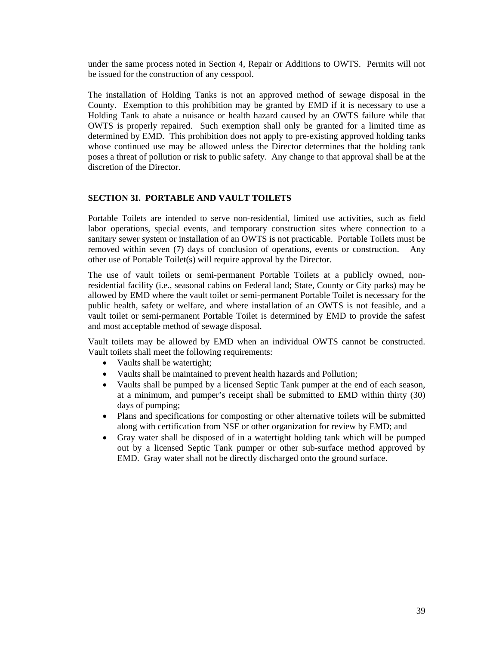under the same process noted in Section 4, Repair or Additions to OWTS. Permits will not be issued for the construction of any cesspool.

The installation of Holding Tanks is not an approved method of sewage disposal in the County. Exemption to this prohibition may be granted by EMD if it is necessary to use a Holding Tank to abate a nuisance or health hazard caused by an OWTS failure while that OWTS is properly repaired. Such exemption shall only be granted for a limited time as determined by EMD. This prohibition does not apply to pre-existing approved holding tanks whose continued use may be allowed unless the Director determines that the holding tank poses a threat of pollution or risk to public safety. Any change to that approval shall be at the discretion of the Director.

#### <span id="page-40-0"></span>**SECTION 3I. PORTABLE AND VAULT TOILETS**

Portable Toilets are intended to serve non-residential, limited use activities, such as field labor operations, special events, and temporary construction sites where connection to a sanitary sewer system or installation of an OWTS is not practicable. Portable Toilets must be removed within seven (7) days of conclusion of operations, events or construction. Any other use of Portable Toilet(s) will require approval by the Director.

The use of vault toilets or semi-permanent Portable Toilets at a publicly owned, nonresidential facility (i.e., seasonal cabins on Federal land; State, County or City parks) may be allowed by EMD where the vault toilet or semi-permanent Portable Toilet is necessary for the public health, safety or welfare, and where installation of an OWTS is not feasible, and a vault toilet or semi-permanent Portable Toilet is determined by EMD to provide the safest and most acceptable method of sewage disposal.

Vault toilets may be allowed by EMD when an individual OWTS cannot be constructed. Vault toilets shall meet the following requirements:

- Vaults shall be watertight;
- Vaults shall be maintained to prevent health hazards and Pollution;
- Vaults shall be pumped by a licensed Septic Tank pumper at the end of each season, at a minimum, and pumper's receipt shall be submitted to EMD within thirty (30) days of pumping;
- Plans and specifications for composting or other alternative toilets will be submitted along with certification from NSF or other organization for review by EMD; and
- Gray water shall be disposed of in a watertight holding tank which will be pumped out by a licensed Septic Tank pumper or other sub-surface method approved by EMD. Gray water shall not be directly discharged onto the ground surface.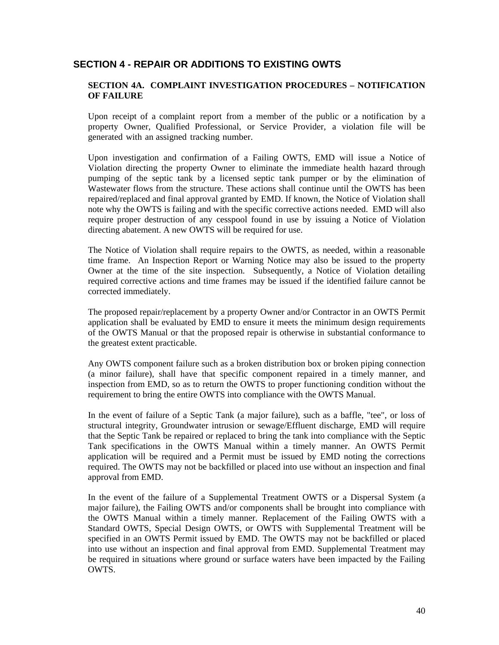# <span id="page-41-0"></span>**SECTION 4 - REPAIR OR ADDITIONS TO EXISTING OWTS**

### <span id="page-41-1"></span>**SECTION 4A. COMPLAINT INVESTIGATION PROCEDURES – NOTIFICATION OF FAILURE**

Upon receipt of a complaint report from a member of the public or a notification by a property Owner, Qualified Professional, or Service Provider, a violation file will be generated with an assigned tracking number.

Upon investigation and confirmation of a Failing OWTS, EMD will issue a Notice of Violation directing the property Owner to eliminate the immediate health hazard through pumping of the septic tank by a licensed septic tank pumper or by the elimination of Wastewater flows from the structure. These actions shall continue until the OWTS has been repaired/replaced and final approval granted by EMD. If known, the Notice of Violation shall note why the OWTS is failing and with the specific corrective actions needed. EMD will also require proper destruction of any cesspool found in use by issuing a Notice of Violation directing abatement. A new OWTS will be required for use.

The Notice of Violation shall require repairs to the OWTS, as needed, within a reasonable time frame. An Inspection Report or Warning Notice may also be issued to the property Owner at the time of the site inspection. Subsequently, a Notice of Violation detailing required corrective actions and time frames may be issued if the identified failure cannot be corrected immediately.

The proposed repair/replacement by a property Owner and/or Contractor in an OWTS Permit application shall be evaluated by EMD to ensure it meets the minimum design requirements of the OWTS Manual or that the proposed repair is otherwise in substantial conformance to the greatest extent practicable.

Any OWTS component failure such as a broken distribution box or broken piping connection (a minor failure), shall have that specific component repaired in a timely manner, and inspection from EMD, so as to return the OWTS to proper functioning condition without the requirement to bring the entire OWTS into compliance with the OWTS Manual.

In the event of failure of a Septic Tank (a major failure), such as a baffle, "tee", or loss of structural integrity, Groundwater intrusion or sewage/Effluent discharge, EMD will require that the Septic Tank be repaired or replaced to bring the tank into compliance with the Septic Tank specifications in the OWTS Manual within a timely manner. An OWTS Permit application will be required and a Permit must be issued by EMD noting the corrections required. The OWTS may not be backfilled or placed into use without an inspection and final approval from EMD.

In the event of the failure of a Supplemental Treatment OWTS or a Dispersal System (a major failure), the Failing OWTS and/or components shall be brought into compliance with the OWTS Manual within a timely manner. Replacement of the Failing OWTS with a Standard OWTS, Special Design OWTS, or OWTS with Supplemental Treatment will be specified in an OWTS Permit issued by EMD. The OWTS may not be backfilled or placed into use without an inspection and final approval from EMD. Supplemental Treatment may be required in situations where ground or surface waters have been impacted by the Failing OWTS.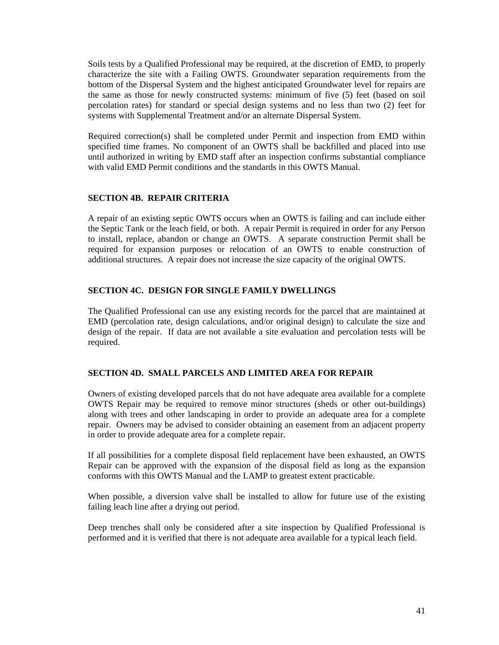Soils tests by a Qualified Professional may be required, at the discretion of EMD, to properly characterize the site with a Failing OWTS. Groundwater separation requirements from the bottom of the Dispersal System and the highest anticipated Groundwater level for repairs are the same as those for newly constructed systems: minimum of five (5) feet (based on soil percolation rates) for standard or special design systems and no less than two (2) feet for systems with Supplemental Treatment and/or an alternate Dispersal System.

Required correction(s) shall be completed under Permit and inspection from EMD within specified time frames. No component of an OWTS shall be backfilled and placed into use until authorized in writing by EMD staff after an inspection confirms substantial compliance with valid EMD Permit conditions and the standards in this OWTS Manual.

#### <span id="page-42-0"></span>**SECTION 4B. REPAIR CRITERIA**

A repair of an existing septic OWTS occurs when an OWTS is failing and can include either the Septic Tank or the leach field, or both. A repair Permit is required in order for any Person to install, replace, abandon or change an OWTS. A separate construction Permit shall be required for expansion purposes or relocation of an OWTS to enable construction of additional structures. A repair does not increase the size capacity of the original OWTS.

#### <span id="page-42-1"></span>**SECTION 4C. DESIGN FOR SINGLE FAMILY DWELLINGS**

The Qualified Professional can use any existing records for the parcel that are maintained at EMD (percolation rate, design calculations, and/or original design) to calculate the size and design of the repair. If data are not available a site evaluation and percolation tests will be required.

#### <span id="page-42-2"></span>**SECTION 4D. SMALL PARCELS AND LIMITED AREA FOR REPAIR**

Owners of existing developed parcels that do not have adequate area available for a complete OWTS Repair may be required to remove minor structures (sheds or other out-buildings) along with trees and other landscaping in order to provide an adequate area for a complete repair. Owners may be advised to consider obtaining an easement from an adjacent property in order to provide adequate area for a complete repair.

If all possibilities for a complete disposal field replacement have been exhausted, an OWTS Repair can be approved with the expansion of the disposal field as long as the expansion conforms with this OWTS Manual and the LAMP to greatest extent practicable.

When possible, a diversion valve shall be installed to allow for future use of the existing failing leach line after a drying out period.

Deep trenches shall only be considered after a site inspection by Qualified Professional is performed and it is verified that there is not adequate area available for a typical leach field.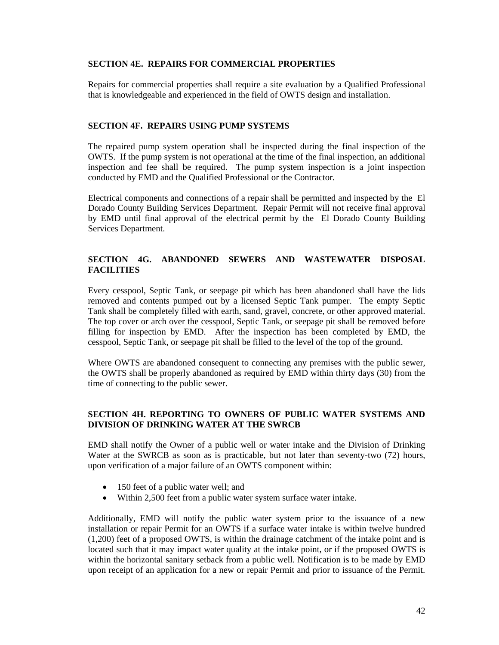#### <span id="page-43-0"></span>**SECTION 4E. REPAIRS FOR COMMERCIAL PROPERTIES**

Repairs for commercial properties shall require a site evaluation by a Qualified Professional that is knowledgeable and experienced in the field of OWTS design and installation.

#### <span id="page-43-1"></span>**SECTION 4F. REPAIRS USING PUMP SYSTEMS**

The repaired pump system operation shall be inspected during the final inspection of the OWTS. If the pump system is not operational at the time of the final inspection, an additional inspection and fee shall be required. The pump system inspection is a joint inspection conducted by EMD and the Qualified Professional or the Contractor.

Electrical components and connections of a repair shall be permitted and inspected by the El Dorado County Building Services Department. Repair Permit will not receive final approval by EMD until final approval of the electrical permit by the El Dorado County Building Services Department.

# <span id="page-43-2"></span>**SECTION 4G. ABANDONED SEWERS AND WASTEWATER DISPOSAL FACILITIES**

Every cesspool, Septic Tank, or seepage pit which has been abandoned shall have the lids removed and contents pumped out by a licensed Septic Tank pumper. The empty Septic Tank shall be completely filled with earth, sand, gravel, concrete, or other approved material. The top cover or arch over the cesspool, Septic Tank, or seepage pit shall be removed before filling for inspection by EMD. After the inspection has been completed by EMD, the cesspool, Septic Tank, or seepage pit shall be filled to the level of the top of the ground.

Where OWTS are abandoned consequent to connecting any premises with the public sewer, the OWTS shall be properly abandoned as required by EMD within thirty days (30) from the time of connecting to the public sewer.

#### <span id="page-43-3"></span>**SECTION 4H. REPORTING TO OWNERS OF PUBLIC WATER SYSTEMS AND DIVISION OF DRINKING WATER AT THE SWRCB**

EMD shall notify the Owner of a public well or water intake and the Division of Drinking Water at the SWRCB as soon as is practicable, but not later than seventy-two (72) hours, upon verification of a major failure of an OWTS component within:

- 150 feet of a public water well; and
- Within 2,500 feet from a public water system surface water intake.

Additionally, EMD will notify the public water system prior to the issuance of a new installation or repair Permit for an OWTS if a surface water intake is within twelve hundred (1,200) feet of a proposed OWTS, is within the drainage catchment of the intake point and is located such that it may impact water quality at the intake point, or if the proposed OWTS is within the horizontal sanitary setback from a public well. Notification is to be made by EMD upon receipt of an application for a new or repair Permit and prior to issuance of the Permit.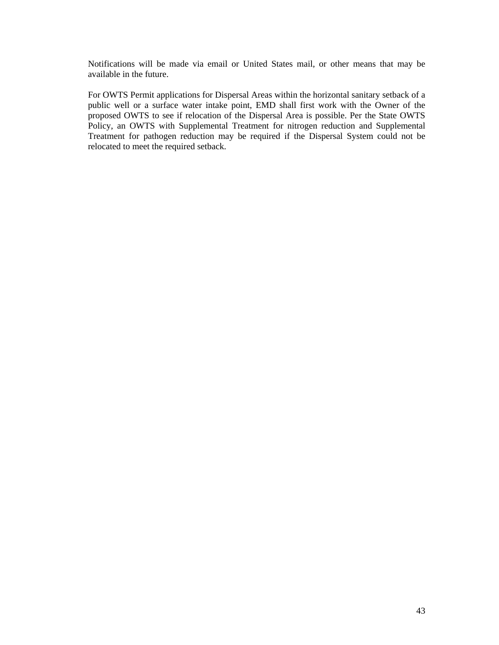Notifications will be made via email or United States mail, or other means that may be available in the future.

For OWTS Permit applications for Dispersal Areas within the horizontal sanitary setback of a public well or a surface water intake point, EMD shall first work with the Owner of the proposed OWTS to see if relocation of the Dispersal Area is possible. Per the State OWTS Policy, an OWTS with Supplemental Treatment for nitrogen reduction and Supplemental Treatment for pathogen reduction may be required if the Dispersal System could not be relocated to meet the required setback.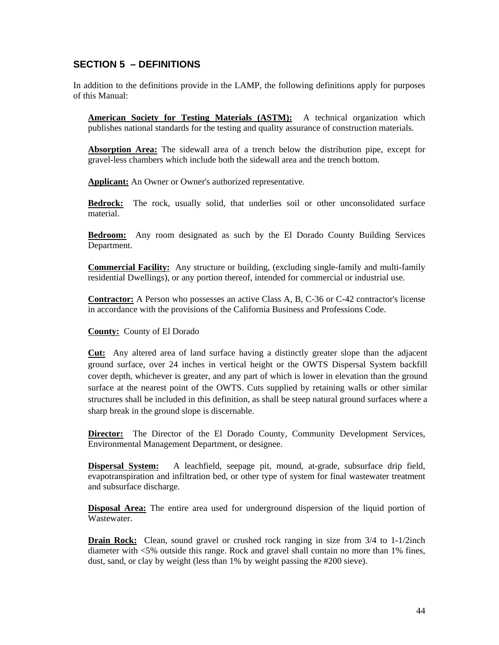# <span id="page-45-0"></span>**SECTION 5 – DEFINITIONS**

In addition to the definitions provide in the LAMP, the following definitions apply for purposes of this Manual:

**American Society for Testing Materials (ASTM):** A technical organization which publishes national standards for the testing and quality assurance of construction materials.

**Absorption Area:** The sidewall area of a trench below the distribution pipe, except for gravel-less chambers which include both the sidewall area and the trench bottom.

**Applicant:** An Owner or Owner's authorized representative.

**Bedrock:** The rock, usually solid, that underlies soil or other unconsolidated surface material.

**Bedroom:** Any room designated as such by the El Dorado County Building Services Department.

**Commercial Facility:** Any structure or building, (excluding single-family and multi-family residential Dwellings), or any portion thereof, intended for commercial or industrial use.

**Contractor:** A Person who possesses an active Class A, B, C-36 or C-42 contractor's license in accordance with the provisions of the California Business and Professions Code.

**County:** County of El Dorado

**Cut:** Any altered area of land surface having a distinctly greater slope than the adjacent ground surface, over 24 inches in vertical height or the OWTS Dispersal System backfill cover depth, whichever is greater, and any part of which is lower in elevation than the ground surface at the nearest point of the OWTS. Cuts supplied by retaining walls or other similar structures shall be included in this definition, as shall be steep natural ground surfaces where a sharp break in the ground slope is discernable.

**Director:** The Director of the El Dorado County, Community Development Services, Environmental Management Department, or designee.

**Dispersal System:** A leachfield, seepage pit, mound, at-grade, subsurface drip field, evapotranspiration and infiltration bed, or other type of system for final wastewater treatment and subsurface discharge.

**Disposal Area:** The entire area used for underground dispersion of the liquid portion of Wastewater.

**Drain Rock:** Clean, sound gravel or crushed rock ranging in size from  $3/4$  to  $1-1/2$ inch diameter with <5% outside this range. Rock and gravel shall contain no more than 1% fines, dust, sand, or clay by weight (less than 1% by weight passing the #200 sieve).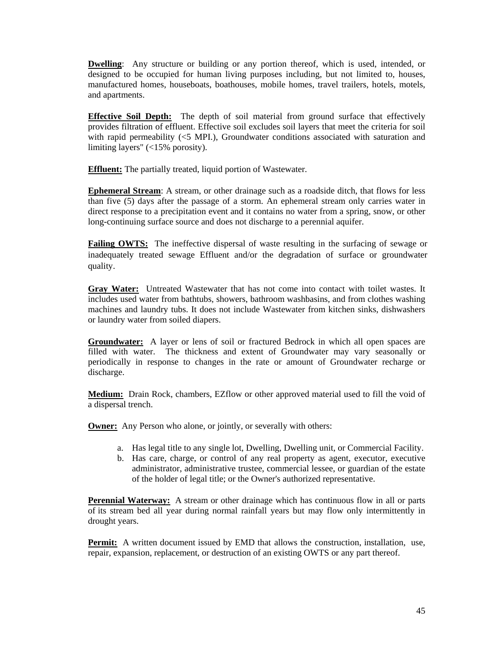**Dwelling**: Any structure or building or any portion thereof, which is used, intended, or designed to be occupied for human living purposes including, but not limited to, houses, manufactured homes, houseboats, boathouses, mobile homes, travel trailers, hotels, motels, and apartments.

**Effective Soil Depth:** The depth of soil material from ground surface that effectively provides filtration of effluent. Effective soil excludes soil layers that meet the criteria for soil with rapid permeability (<5 MPI), Groundwater conditions associated with saturation and limiting layers" (<15% porosity).

**Effluent:** The partially treated, liquid portion of Wastewater.

**Ephemeral Stream**: A stream, or other drainage such as a roadside ditch, that flows for less than five (5) days after the passage of a storm. An ephemeral stream only carries water in direct response to a precipitation event and it contains no water from a spring, snow, or other long-continuing surface source and does not discharge to a perennial aquifer.

**Failing OWTS:** The ineffective dispersal of waste resulting in the surfacing of sewage or inadequately treated sewage Effluent and/or the degradation of surface or groundwater quality.

**Gray Water:** Untreated Wastewater that has not come into contact with toilet wastes. It includes used water from bathtubs, showers, bathroom washbasins, and from clothes washing machines and laundry tubs. It does not include Wastewater from kitchen sinks, dishwashers or laundry water from soiled diapers.

**Groundwater:** A layer or lens of soil or fractured Bedrock in which all open spaces are filled with water. The thickness and extent of Groundwater may vary seasonally or periodically in response to changes in the rate or amount of Groundwater recharge or discharge.

**Medium:** Drain Rock, chambers, EZflow or other approved material used to fill the void of a dispersal trench.

**Owner:** Any Person who alone, or jointly, or severally with others:

- a. Has legal title to any single lot, Dwelling, Dwelling unit, or Commercial Facility.
- b. Has care, charge, or control of any real property as agent, executor, executive administrator, administrative trustee, commercial lessee, or guardian of the estate of the holder of legal title; or the Owner's authorized representative.

**Perennial Waterway:** A stream or other drainage which has continuous flow in all or parts of its stream bed all year during normal rainfall years but may flow only intermittently in drought years.

**Permit:** A written document issued by EMD that allows the construction, installation, use, repair, expansion, replacement, or destruction of an existing OWTS or any part thereof.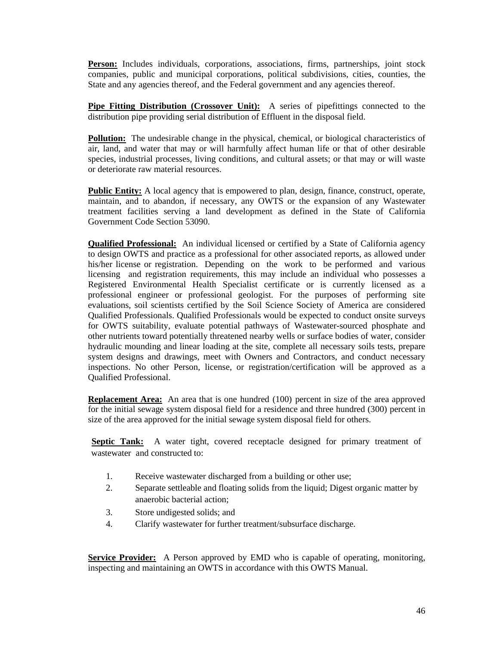Person: Includes individuals, corporations, associations, firms, partnerships, joint stock companies, public and municipal corporations, political subdivisions, cities, counties, the State and any agencies thereof, and the Federal government and any agencies thereof.

**Pipe Fitting Distribution (Crossover Unit):** A series of pipefittings connected to the distribution pipe providing serial distribution of Effluent in the disposal field.

**Pollution:** The undesirable change in the physical, chemical, or biological characteristics of air, land, and water that may or will harmfully affect human life or that of other desirable species, industrial processes, living conditions, and cultural assets; or that may or will waste or deteriorate raw material resources.

**Public Entity:** A local agency that is empowered to plan, design, finance, construct, operate, maintain, and to abandon, if necessary, any OWTS or the expansion of any Wastewater treatment facilities serving a land development as defined in the State of California Government Code Section 53090.

**Qualified Professional:** An individual licensed or certified by a State of California agency to design OWTS and practice as a professional for other associated reports, as allowed under his/her license or registration. Depending on the work to be performed and various licensing and registration requirements, this may include an individual who possesses a Registered Environmental Health Specialist certificate or is currently licensed as a professional engineer or professional geologist. For the purposes of performing site evaluations, soil scientists certified by the Soil Science Society of America are considered Qualified Professionals. Qualified Professionals would be expected to conduct onsite surveys for OWTS suitability, evaluate potential pathways of Wastewater-sourced phosphate and other nutrients toward potentially threatened nearby wells or surface bodies of water, consider hydraulic mounding and linear loading at the site, complete all necessary soils tests, prepare system designs and drawings, meet with Owners and Contractors, and conduct necessary inspections. No other Person, license, or registration/certification will be approved as a Qualified Professional.

**Replacement Area:** An area that is one hundred (100) percent in size of the area approved for the initial sewage system disposal field for a residence and three hundred (300) percent in size of the area approved for the initial sewage system disposal field for others.

**Septic Tank:** A water tight, covered receptacle designed for primary treatment of wastewater and constructed to:

- 1. Receive wastewater discharged from a building or other use;
- 2. Separate settleable and floating solids from the liquid; Digest organic matter by anaerobic bacterial action;
- 3. Store undigested solids; and
- 4. Clarify wastewater for further treatment/subsurface discharge.

**Service Provider:** A Person approved by EMD who is capable of operating, monitoring, inspecting and maintaining an OWTS in accordance with this OWTS Manual.